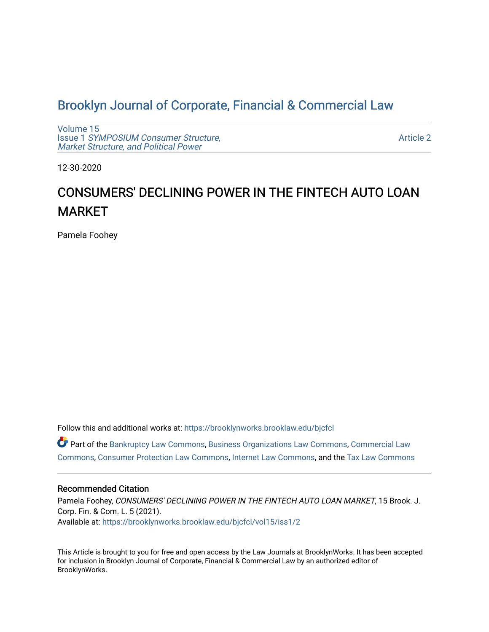# [Brooklyn Journal of Corporate, Financial & Commercial Law](https://brooklynworks.brooklaw.edu/bjcfcl)

[Volume 15](https://brooklynworks.brooklaw.edu/bjcfcl/vol15) Issue 1 [SYMPOSIUM Consumer Structure,](https://brooklynworks.brooklaw.edu/bjcfcl/vol15/iss1) [Market Structure, and Political Power](https://brooklynworks.brooklaw.edu/bjcfcl/vol15/iss1)

[Article 2](https://brooklynworks.brooklaw.edu/bjcfcl/vol15/iss1/2) 

12-30-2020

# CONSUMERS' DECLINING POWER IN THE FINTECH AUTO LOAN MARKET

Pamela Foohey

Follow this and additional works at: [https://brooklynworks.brooklaw.edu/bjcfcl](https://brooklynworks.brooklaw.edu/bjcfcl?utm_source=brooklynworks.brooklaw.edu%2Fbjcfcl%2Fvol15%2Fiss1%2F2&utm_medium=PDF&utm_campaign=PDFCoverPages)

Part of the [Bankruptcy Law Commons,](http://network.bepress.com/hgg/discipline/583?utm_source=brooklynworks.brooklaw.edu%2Fbjcfcl%2Fvol15%2Fiss1%2F2&utm_medium=PDF&utm_campaign=PDFCoverPages) [Business Organizations Law Commons](http://network.bepress.com/hgg/discipline/900?utm_source=brooklynworks.brooklaw.edu%2Fbjcfcl%2Fvol15%2Fiss1%2F2&utm_medium=PDF&utm_campaign=PDFCoverPages), [Commercial Law](http://network.bepress.com/hgg/discipline/586?utm_source=brooklynworks.brooklaw.edu%2Fbjcfcl%2Fvol15%2Fiss1%2F2&utm_medium=PDF&utm_campaign=PDFCoverPages) [Commons](http://network.bepress.com/hgg/discipline/586?utm_source=brooklynworks.brooklaw.edu%2Fbjcfcl%2Fvol15%2Fiss1%2F2&utm_medium=PDF&utm_campaign=PDFCoverPages), [Consumer Protection Law Commons](http://network.bepress.com/hgg/discipline/838?utm_source=brooklynworks.brooklaw.edu%2Fbjcfcl%2Fvol15%2Fiss1%2F2&utm_medium=PDF&utm_campaign=PDFCoverPages), [Internet Law Commons](http://network.bepress.com/hgg/discipline/892?utm_source=brooklynworks.brooklaw.edu%2Fbjcfcl%2Fvol15%2Fiss1%2F2&utm_medium=PDF&utm_campaign=PDFCoverPages), and the [Tax Law Commons](http://network.bepress.com/hgg/discipline/898?utm_source=brooklynworks.brooklaw.edu%2Fbjcfcl%2Fvol15%2Fiss1%2F2&utm_medium=PDF&utm_campaign=PDFCoverPages) 

## Recommended Citation

Pamela Foohey, CONSUMERS' DECLINING POWER IN THE FINTECH AUTO LOAN MARKET, 15 Brook. J. Corp. Fin. & Com. L. 5 (2021). Available at: [https://brooklynworks.brooklaw.edu/bjcfcl/vol15/iss1/2](https://brooklynworks.brooklaw.edu/bjcfcl/vol15/iss1/2?utm_source=brooklynworks.brooklaw.edu%2Fbjcfcl%2Fvol15%2Fiss1%2F2&utm_medium=PDF&utm_campaign=PDFCoverPages)

This Article is brought to you for free and open access by the Law Journals at BrooklynWorks. It has been accepted for inclusion in Brooklyn Journal of Corporate, Financial & Commercial Law by an authorized editor of BrooklynWorks.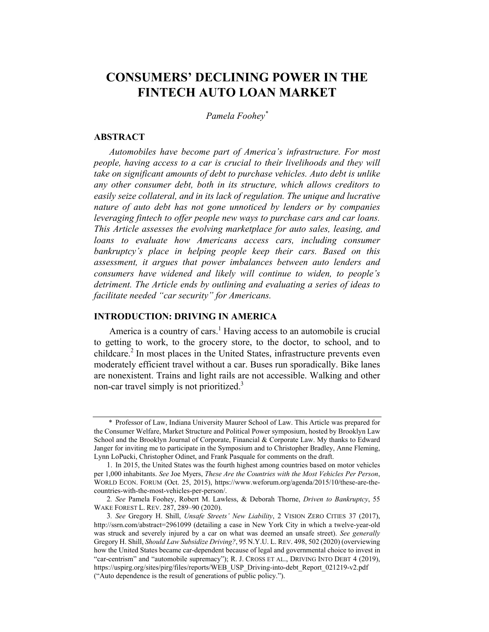# CONSUMERS' DECLINING POWER IN THE FINTECH AUTO LOAN MARKET

Pamela Foohey\*

#### **ABSTRACT**

Automobiles have become part of America's infrastructure. For most people, having access to a car is crucial to their livelihoods and they will take on significant amounts of debt to purchase vehicles. Auto debt is unlike any other consumer debt, both in its structure, which allows creditors to easily seize collateral, and in its lack of regulation. The unique and lucrative nature of auto debt has not gone unnoticed by lenders or by companies leveraging fintech to offer people new ways to purchase cars and car loans. This Article assesses the evolving marketplace for auto sales, leasing, and loans to evaluate how Americans access cars, including consumer bankruptcy's place in helping people keep their cars. Based on this assessment, it argues that power imbalances between auto lenders and consumers have widened and likely will continue to widen, to people's detriment. The Article ends by outlining and evaluating a series of ideas to facilitate needed "car security" for Americans.

# INTRODUCTION: DRIVING IN AMERICA

America is a country of cars.<sup>1</sup> Having access to an automobile is crucial to getting to work, to the grocery store, to the doctor, to school, and to childcare.<sup>2</sup> In most places in the United States, infrastructure prevents even moderately efficient travel without a car. Buses run sporadically. Bike lanes are nonexistent. Trains and light rails are not accessible. Walking and other non-car travel simply is not prioritized.<sup>3</sup>

<sup>\*</sup> Professor of Law, Indiana University Maurer School of Law. This Article was prepared for the Consumer Welfare, Market Structure and Political Power symposium, hosted by Brooklyn Law School and the Brooklyn Journal of Corporate, Financial & Corporate Law. My thanks to Edward Janger for inviting me to participate in the Symposium and to Christopher Bradley, Anne Fleming, Lynn LoPucki, Christopher Odinet, and Frank Pasquale for comments on the draft.

<sup>1.</sup> In 2015, the United States was the fourth highest among countries based on motor vehicles per 1,000 inhabitants. See Joe Myers, These Are the Countries with the Most Vehicles Per Person, WORLD ECON. FORUM (Oct. 25, 2015), https://www.weforum.org/agenda/2015/10/these-are-thecountries-with-the-most-vehicles-per-person/.

<sup>2</sup>. See Pamela Foohey, Robert M. Lawless, & Deborah Thorne, Driven to Bankruptcy, 55 WAKE FOREST L. REV. 287, 289–90 (2020).

<sup>3</sup>. See Gregory H. Shill, Unsafe Streets' New Liability, 2 VISION ZERO CITIES 37 (2017), http://ssrn.com/abstract=2961099 (detailing a case in New York City in which a twelve-year-old was struck and severely injured by a car on what was deemed an unsafe street). See generally Gregory H. Shill, Should Law Subsidize Driving?, 95 N.Y.U. L. REV. 498, 502 (2020) (overviewing how the United States became car-dependent because of legal and governmental choice to invest in "car-centrism" and "automobile supremacy"); R. J. CROSS ET AL., DRIVING INTO DEBT 4 (2019), https://uspirg.org/sites/pirg/files/reports/WEB\_USP\_Driving-into-debt\_Report\_021219-v2.pdf ("Auto dependence is the result of generations of public policy.").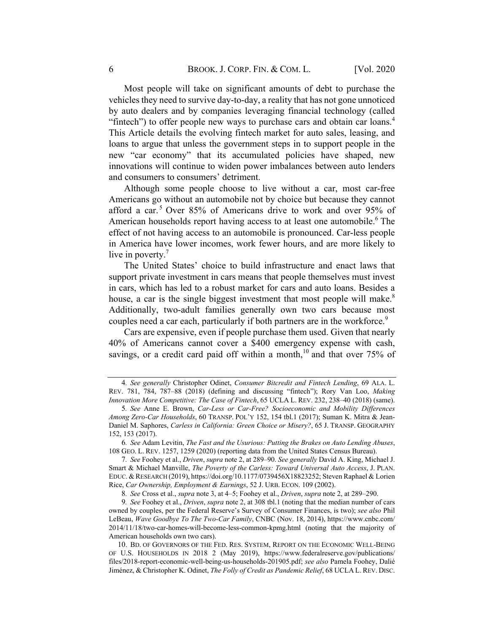Most people will take on significant amounts of debt to purchase the vehicles they need to survive day-to-day, a reality that has not gone unnoticed by auto dealers and by companies leveraging financial technology (called "fintech") to offer people new ways to purchase cars and obtain car loans.<sup>4</sup> This Article details the evolving fintech market for auto sales, leasing, and loans to argue that unless the government steps in to support people in the new "car economy" that its accumulated policies have shaped, new innovations will continue to widen power imbalances between auto lenders and consumers to consumers' detriment.

Although some people choose to live without a car, most car-free Americans go without an automobile not by choice but because they cannot afford a car. <sup>5</sup> Over 85% of Americans drive to work and over 95% of American households report having access to at least one automobile.<sup>6</sup> The effect of not having access to an automobile is pronounced. Car-less people in America have lower incomes, work fewer hours, and are more likely to live in poverty. $<sup>7</sup>$ </sup>

The United States' choice to build infrastructure and enact laws that support private investment in cars means that people themselves must invest in cars, which has led to a robust market for cars and auto loans. Besides a house, a car is the single biggest investment that most people will make.<sup>8</sup> Additionally, two-adult families generally own two cars because most couples need a car each, particularly if both partners are in the workforce.<sup>9</sup>

Cars are expensive, even if people purchase them used. Given that nearly 40% of Americans cannot cover a \$400 emergency expense with cash, savings, or a credit card paid off within a month,<sup>10</sup> and that over 75% of

6. See Adam Levitin, The Fast and the Usurious: Putting the Brakes on Auto Lending Abuses, 108 GEO. L. REV. 1257, 1259 (2020) (reporting data from the United States Census Bureau).

8. See Cross et al., supra note 3, at 4–5; Foohey et al., Driven, supra note 2, at 289–290.

9. See Foohey et al., Driven, supra note 2, at 308 tbl.1 (noting that the median number of cars owned by couples, per the Federal Reserve's Survey of Consumer Finances, is two); see also Phil LeBeau, Wave Goodbye To The Two-Car Family, CNBC (Nov. 18, 2014), https://www.cnbc.com/ 2014/11/18/two-car-homes-will-become-less-common-kpmg.html (noting that the majority of American households own two cars).

10. BD. OF GOVERNORS OF THE FED. RES. SYSTEM, REPORT ON THE ECONOMIC WELL-BEING OF U.S. HOUSEHOLDS IN 2018 2 (May 2019), https://www.federalreserve.gov/publications/ files/2018-report-economic-well-being-us-households-201905.pdf; see also Pamela Foohey, Dalié Jiménez, & Christopher K. Odinet, The Folly of Credit as Pandemic Relief, 68 UCLA L. REV. DISC.

<sup>4</sup>. See generally Christopher Odinet, Consumer Bitcredit and Fintech Lending, 69 ALA. L. REV. 781, 784, 787–88 (2018) (defining and discussing "fintech"); Rory Van Loo, Making Innovation More Competitive: The Case of Fintech, 65 UCLA L. REV. 232, 238–40 (2018) (same).

<sup>5</sup>. See Anne E. Brown, Car-Less or Car-Free? Socioeconomic and Mobility Differences Among Zero-Car Households, 60 TRANSP. POL'Y 152, 154 tbl.1 (2017); Suman K. Mitra & Jean-Daniel M. Saphores, Carless in California: Green Choice or Misery?, 65 J. TRANSP. GEOGRAPHY 152, 153 (2017).

<sup>7.</sup> See Foohey et al., Driven, supra note 2, at 289-90. See generally David A. King, Michael J. Smart & Michael Manville, The Poverty of the Carless: Toward Universal Auto Access, J. PLAN. EDUC. & RESEARCH (2019), https://doi.org/10.1177/0739456X18823252; Steven Raphael & Lorien Rice, Car Ownership, Employment & Earnings, 52 J. URB. ECON. 109 (2002).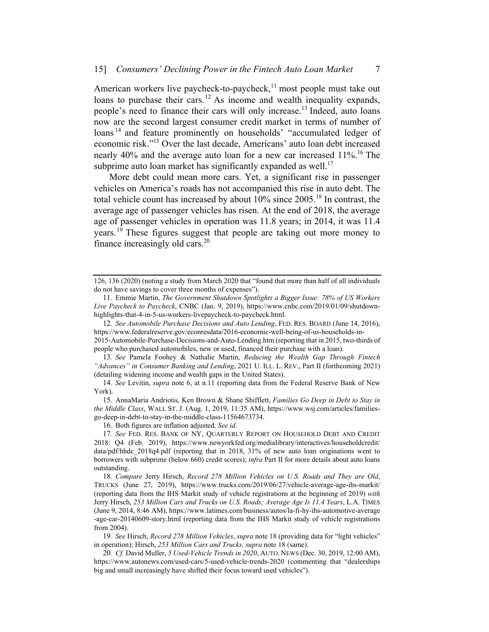American workers live paycheck-to-paycheck, $11$  most people must take out loans to purchase their cars.<sup>12</sup> As income and wealth inequality expands, people's need to finance their cars will only increase.<sup>13</sup> Indeed, auto loans now are the second largest consumer credit market in terms of number of loans<sup>14</sup> and feature prominently on households' "accumulated ledger of economic risk."15 Over the last decade, Americans' auto loan debt increased nearly 40% and the average auto loan for a new car increased 11%. <sup>16</sup> The subprime auto loan market has significantly expanded as well.<sup>17</sup>

More debt could mean more cars. Yet, a significant rise in passenger vehicles on America's roads has not accompanied this rise in auto debt. The total vehicle count has increased by about 10% since 2005.18 In contrast, the average age of passenger vehicles has risen. At the end of 2018, the average age of passenger vehicles in operation was 11.8 years; in 2014, it was 11.4 years.<sup>19</sup> These figures suggest that people are taking out more money to finance increasingly old cars.<sup>20</sup>

2015-Automobile-Purchase-Decisions-and-Auto-Lending.htm (reporting that in 2015, two-thirds of people who purchased automobiles, new or used, financed their purchase with a loan).

13. See Pamela Foohey & Nathalie Martin, Reducing the Wealth Gap Through Fintech "Advances" in Consumer Banking and Lending, 2021 U. ILL. L. REV., Part II (forthcoming 2021) (detailing widening income and wealth gaps in the United States).

14. See Levitin, supra note 6, at n.11 (reporting data from the Federal Reserve Bank of New York).

15. AnnaMaria Andriotis, Ken Brown & Shane Shifflett, Families Go Deep in Debt to Stay in the Middle Class, WALL ST. J. (Aug. 1, 2019, 11:35 AM), https://www.wsj.com/articles/familiesgo-deep-in-debt-to-stay-in-the-middle-class-11564673734.

16. Both figures are inflation adjusted. See id.

18. Compare Jerry Hirsch, Record 278 Million Vehicles on U.S. Roads and They are Old, TRUCKS (June 27, 2019), https://www.trucks.com/2019/06/27/vehicle-average-age-ihs-markit/ (reporting data from the IHS Markit study of vehicle registrations at the beginning of 2019) with Jerry Hirsch, 253 Million Cars and Trucks on U.S. Roads; Average Age Is 11.4 Years, L.A. TIMES (June 9, 2014, 8:46 AM), https://www.latimes.com/business/autos/la-fi-hy-ihs-automotive-average -age-car-20140609-story.html (reporting data from the IHS Markit study of vehicle registrations from 2004).

19. See Hirsch, Record 278 Million Vehicles, supra note 18 (providing data for "light vehicles" in operation); Hirsch, 253 Million Cars and Trucks, supra note 18 (same).

20. Cf. David Muller, 5 Used-Vehicle Trends in 2020, AUTO. NEWS (Dec. 30, 2019, 12:00 AM), https://www.autonews.com/used-cars/5-used-vehicle-trends-2020 (commenting that "dealerships big and small increasingly have shifted their focus toward used vehicles").

<sup>126,</sup> 136 (2020) (noting a study from March 2020 that "found that more than half of all individuals do not have savings to cover three months of expenses").

<sup>11.</sup> Emmie Martin, The Government Shutdown Spotlights a Bigger Issue: 78% of US Workers Live Paycheck to Paycheck, CNBC (Jan. 9, 2019), https://www.cnbc.com/2019/01/09/shutdownhighlights-that-4-in-5-us-workers-livepaycheck-to-paycheck.html.

<sup>12</sup>. See Automobile Purchase Decisions and Auto Lending, FED. RES. BOARD (June 14, 2016), https://www.federalreserve.gov/econresdata/2016-economic-well-being-of-us-households-in-

<sup>17</sup>. See FED. RES. BANK OF NY, QUARTERLY REPORT ON HOUSEHOLD DEBT AND CREDIT 2018: Q4 (Feb. 2019), https://www.newyorkfed.org/medialibrary/interactives/householdcredit/ data/pdf/hhdc\_2018q4.pdf (reporting that in 2018, 31% of new auto loan originations went to borrowers with subprime (below 660) credit scores); infra Part II for more details about auto loans outstanding.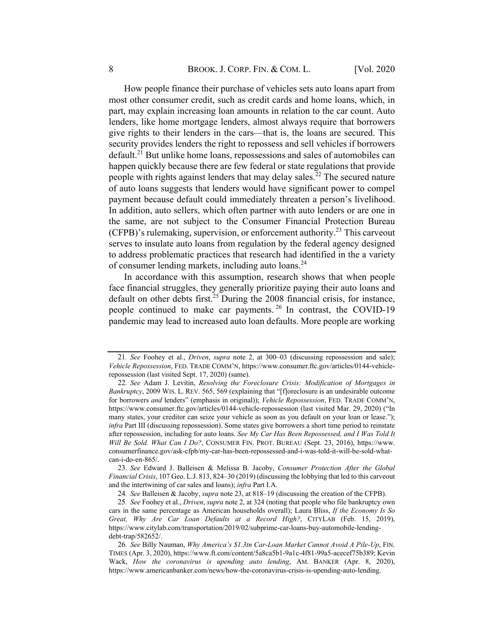How people finance their purchase of vehicles sets auto loans apart from most other consumer credit, such as credit cards and home loans, which, in part, may explain increasing loan amounts in relation to the car count. Auto lenders, like home mortgage lenders, almost always require that borrowers give rights to their lenders in the cars—that is, the loans are secured. This security provides lenders the right to repossess and sell vehicles if borrowers  $\delta$  default.<sup>21</sup> But unlike home loans, repossessions and sales of automobiles can happen quickly because there are few federal or state regulations that provide people with rights against lenders that may delay sales.<sup>22</sup> The secured nature of auto loans suggests that lenders would have significant power to compel payment because default could immediately threaten a person's livelihood. In addition, auto sellers, which often partner with auto lenders or are one in the same, are not subject to the Consumer Financial Protection Bureau (CFPB)'s rulemaking, supervision, or enforcement authority. <sup>23</sup> This carveout serves to insulate auto loans from regulation by the federal agency designed to address problematic practices that research had identified in the a variety of consumer lending markets, including auto loans.<sup>24</sup>

In accordance with this assumption, research shows that when people face financial struggles, they generally prioritize paying their auto loans and default on other debts first.<sup>25</sup> During the 2008 financial crisis, for instance, people continued to make car payments.<sup>26</sup> In contrast, the COVID-19 pandemic may lead to increased auto loan defaults. More people are working

<sup>21</sup>. See Foohey et al., Driven, supra note 2, at 300–03 (discussing repossession and sale); Vehicle Repossession, FED. TRADE COMM'N, https://www.consumer.ftc.gov/articles/0144-vehiclerepossession (last visited Sept. 17, 2020) (same).

<sup>22</sup>. See Adam J. Levitin, Resolving the Foreclosure Crisis: Modification of Mortgages in Bankruptcy, 2009 WIS. L. REV. 565, 569 (explaining that "[f]oreclosure is an undesirable outcome for borrowers and lenders" (emphasis in original)); Vehicle Repossession, FED. TRADE COMM'N, https://www.consumer.ftc.gov/articles/0144-vehicle-repossession (last visited Mar. 29, 2020) ("In many states, your creditor can seize your vehicle as soon as you default on your loan or lease."); infra Part III (discussing repossession). Some states give borrowers a short time period to reinstate after repossession, including for auto loans. See My Car Has Been Repossessed, and I Was Told It Will Be Sold. What Can I Do?, CONSUMER FIN. PROT. BUREAU (Sept. 23, 2016), https://www. consumerfinance.gov/ask-cfpb/my-car-has-been-repossessed-and-i-was-told-it-will-be-sold-whatcan-i-do-en-865/.

<sup>23</sup>. See Edward J. Balleisen & Melissa B. Jacoby, Consumer Protection After the Global Financial Crisis, 107 Geo. L.J. 813, 824–30 (2019) (discussing the lobbying that led to this carveout and the intertwining of car sales and loans); infra Part I.A.

<sup>24</sup>. See Balleisen & Jacoby, supra note 23, at 818–19 (discussing the creation of the CFPB).

<sup>25</sup>. See Foohey et al., Driven, supra note 2, at 324 (noting that people who file bankruptcy own cars in the same percentage as American households overall); Laura Bliss, If the Economy Is So Great, Why Are Car Loan Defaults at a Record High?, CITYLAB (Feb. 15, 2019), https://www.citylab.com/transportation/2019/02/subprime-car-loans-buy-automobile-lendingdebt-trap/582652/.

<sup>26</sup>. See Billy Nauman, Why America's \$1.3tn Car-Loan Market Cannot Avoid A Pile-Up, FIN. TIMES (Apr. 3, 2020), https://www.ft.com/content/5a8ca5b1-9a1c-4f81-99a5-acecef75b389; Kevin Wack, How the coronavirus is upending auto lending, AM. BANKER (Apr. 8, 2020), https://www.americanbanker.com/news/how-the-coronavirus-crisis-is-upending-auto-lending.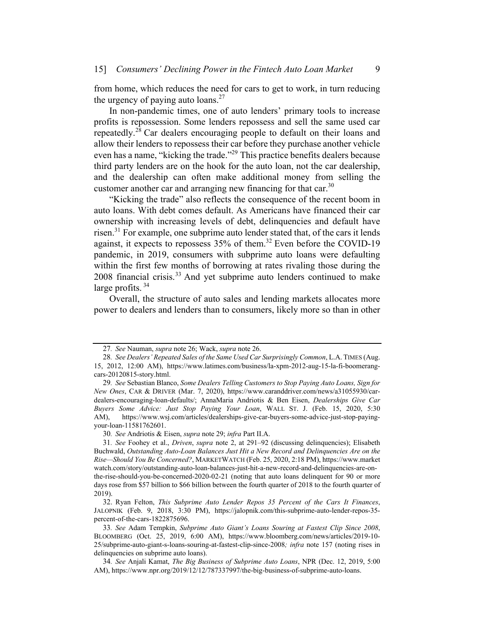from home, which reduces the need for cars to get to work, in turn reducing the urgency of paying auto loans. $27$ 

In non-pandemic times, one of auto lenders' primary tools to increase profits is repossession. Some lenders repossess and sell the same used car repeatedly.<sup>28</sup> Car dealers encouraging people to default on their loans and allow their lenders to repossess their car before they purchase another vehicle even has a name, "kicking the trade."<sup>29</sup> This practice benefits dealers because third party lenders are on the hook for the auto loan, not the car dealership, and the dealership can often make additional money from selling the customer another car and arranging new financing for that car.<sup>30</sup>

"Kicking the trade" also reflects the consequence of the recent boom in auto loans. With debt comes default. As Americans have financed their car ownership with increasing levels of debt, delinquencies and default have risen.<sup>31</sup> For example, one subprime auto lender stated that, of the cars it lends against, it expects to repossess 35% of them.<sup>32</sup> Even before the COVID-19 pandemic, in 2019, consumers with subprime auto loans were defaulting within the first few months of borrowing at rates rivaling those during the  $2008$  financial crisis.<sup>33</sup> And yet subprime auto lenders continued to make large profits.  $34$ 

Overall, the structure of auto sales and lending markets allocates more power to dealers and lenders than to consumers, likely more so than in other

<sup>27</sup>. See Nauman, supra note 26; Wack, supra note 26.

<sup>28</sup>. See Dealers' Repeated Sales of the Same Used Car Surprisingly Common, L.A. TIMES (Aug. 15, 2012, 12:00 AM), https://www.latimes.com/business/la-xpm-2012-aug-15-la-fi-boomerangcars-20120815-story.html.

<sup>29</sup>. See Sebastian Blanco, Some Dealers Telling Customers to Stop Paying Auto Loans, Sign for New Ones, CAR & DRIVER (Mar. 7, 2020), https://www.caranddriver.com/news/a31055930/cardealers-encouraging-loan-defaults/; AnnaMaria Andriotis & Ben Eisen, Dealerships Give Car Buyers Some Advice: Just Stop Paying Your Loan, WALL ST. J. (Feb. 15, 2020, 5:30 AM), https://www.wsj.com/articles/dealerships-give-car-buyers-some-advice-just-stop-payingyour-loan-11581762601.

<sup>30</sup>. See Andriotis & Eisen, supra note 29; infra Part II.A.

<sup>31</sup>. See Foohey et al., Driven, supra note 2, at 291–92 (discussing delinquencies); Elisabeth Buchwald, Outstanding Auto-Loan Balances Just Hit a New Record and Delinquencies Are on the Rise—Should You Be Concerned?, MARKETWATCH (Feb. 25, 2020, 2:18 PM), https://www.market watch.com/story/outstanding-auto-loan-balances-just-hit-a-new-record-and-delinquencies-are-onthe-rise-should-you-be-concerned-2020-02-21 (noting that auto loans delinquent for 90 or more days rose from \$57 billion to \$66 billion between the fourth quarter of 2018 to the fourth quarter of 2019).

<sup>32.</sup> Ryan Felton, This Subprime Auto Lender Repos 35 Percent of the Cars It Finances, JALOPNIK (Feb. 9, 2018, 3:30 PM), https://jalopnik.com/this-subprime-auto-lender-repos-35 percent-of-the-cars-1822875696.

<sup>33</sup>. See Adam Tempkin, Subprime Auto Giant's Loans Souring at Fastest Clip Since 2008, BLOOMBERG (Oct. 25, 2019, 6:00 AM), https://www.bloomberg.com/news/articles/2019-10- 25/subprime-auto-giant-s-loans-souring-at-fastest-clip-since-2008; infra note 157 (noting rises in delinquencies on subprime auto loans).

<sup>34</sup>. See Anjali Kamat, The Big Business of Subprime Auto Loans, NPR (Dec. 12, 2019, 5:00 AM), https://www.npr.org/2019/12/12/787337997/the-big-business-of-subprime-auto-loans.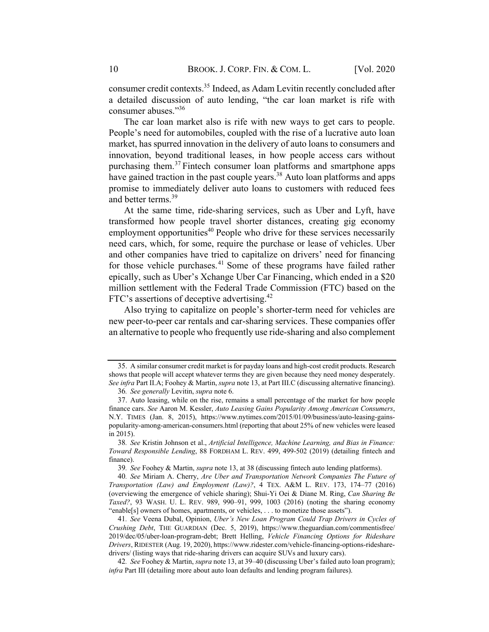consumer credit contexts.35 Indeed, as Adam Levitin recently concluded after a detailed discussion of auto lending, "the car loan market is rife with consumer abuses."<sup>36</sup>

The car loan market also is rife with new ways to get cars to people. People's need for automobiles, coupled with the rise of a lucrative auto loan market, has spurred innovation in the delivery of auto loans to consumers and innovation, beyond traditional leases, in how people access cars without purchasing them.<sup>37</sup> Fintech consumer loan platforms and smartphone apps have gained traction in the past couple years.<sup>38</sup> Auto loan platforms and apps promise to immediately deliver auto loans to customers with reduced fees and better terms.<sup>39</sup>

At the same time, ride-sharing services, such as Uber and Lyft, have transformed how people travel shorter distances, creating gig economy employment opportunities<sup>40</sup> People who drive for these services necessarily need cars, which, for some, require the purchase or lease of vehicles. Uber and other companies have tried to capitalize on drivers' need for financing for those vehicle purchases.<sup>41</sup> Some of these programs have failed rather epically, such as Uber's Xchange Uber Car Financing, which ended in a \$20 million settlement with the Federal Trade Commission (FTC) based on the FTC's assertions of deceptive advertising.<sup>42</sup>

Also trying to capitalize on people's shorter-term need for vehicles are new peer-to-peer car rentals and car-sharing services. These companies offer an alternative to people who frequently use ride-sharing and also complement

<sup>35.</sup> A similar consumer credit market is for payday loans and high-cost credit products. Research shows that people will accept whatever terms they are given because they need money desperately. See infra Part II.A; Foohey & Martin, *supra* note 13, at Part III.C (discussing alternative financing). 36. See generally Levitin, supra note 6.

<sup>37.</sup> Auto leasing, while on the rise, remains a small percentage of the market for how people finance cars. See Aaron M. Kessler, Auto Leasing Gains Popularity Among American Consumers, N.Y. TIMES (Jan. 8, 2015), https://www.nytimes.com/2015/01/09/business/auto-leasing-gainspopularity-among-american-consumers.html (reporting that about 25% of new vehicles were leased in 2015).

<sup>38</sup>. See Kristin Johnson et al., Artificial Intelligence, Machine Learning, and Bias in Finance: Toward Responsible Lending, 88 FORDHAM L. REV. 499, 499-502 (2019) (detailing fintech and finance).

<sup>39</sup>. See Foohey & Martin, supra note 13, at 38 (discussing fintech auto lending platforms).

<sup>40</sup>. See Miriam A. Cherry, Are Uber and Transportation Network Companies The Future of Transportation (Law) and Employment (Law)?, 4 TEX. A&M L. REV. 173, 174–77 (2016) (overviewing the emergence of vehicle sharing); Shui-Yi Oei & Diane M. Ring, Can Sharing Be Taxed?, 93 WASH. U. L. REV. 989, 990–91, 999, 1003 (2016) (noting the sharing economy "enable[s] owners of homes, apartments, or vehicles, . . . to monetize those assets").

<sup>41</sup>. See Veena Dubal, Opinion, Uber's New Loan Program Could Trap Drivers in Cycles of Crushing Debt, THE GUARDIAN (Dec. 5, 2019), https://www.theguardian.com/commentisfree/ 2019/dec/05/uber-loan-program-debt; Brett Helling, Vehicle Financing Options for Rideshare Drivers, RIDESTER (Aug. 19, 2020), https://www.ridester.com/vehicle-financing-options-ridesharedrivers/ (listing ways that ride-sharing drivers can acquire SUVs and luxury cars).

<sup>42.</sup> See Foohey & Martin, supra note 13, at 39–40 (discussing Uber's failed auto loan program); infra Part III (detailing more about auto loan defaults and lending program failures).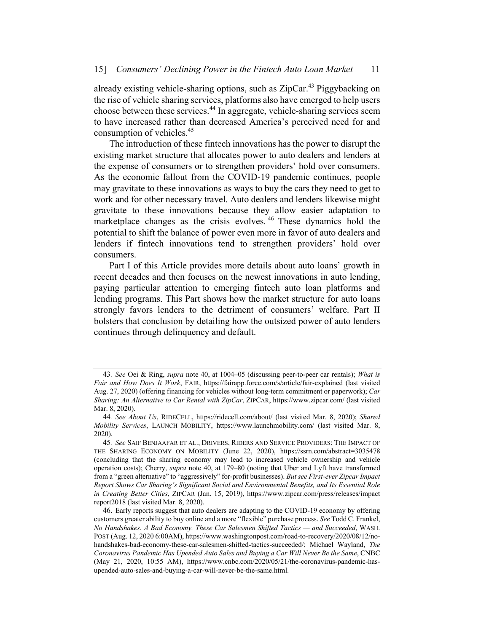already existing vehicle-sharing options, such as  $ZipCar<sup>43</sup> Piggybacking on$ the rise of vehicle sharing services, platforms also have emerged to help users choose between these services.<sup>44</sup> In aggregate, vehicle-sharing services seem to have increased rather than decreased America's perceived need for and consumption of vehicles.<sup>45</sup>

The introduction of these fintech innovations has the power to disrupt the existing market structure that allocates power to auto dealers and lenders at the expense of consumers or to strengthen providers' hold over consumers. As the economic fallout from the COVID-19 pandemic continues, people may gravitate to these innovations as ways to buy the cars they need to get to work and for other necessary travel. Auto dealers and lenders likewise might gravitate to these innovations because they allow easier adaptation to marketplace changes as the crisis evolves.<sup>46</sup> These dynamics hold the potential to shift the balance of power even more in favor of auto dealers and lenders if fintech innovations tend to strengthen providers' hold over consumers.

Part I of this Article provides more details about auto loans' growth in recent decades and then focuses on the newest innovations in auto lending, paying particular attention to emerging fintech auto loan platforms and lending programs. This Part shows how the market structure for auto loans strongly favors lenders to the detriment of consumers' welfare. Part II bolsters that conclusion by detailing how the outsized power of auto lenders continues through delinquency and default.

<sup>43.</sup> See Oei & Ring, *supra* note 40, at 1004–05 (discussing peer-to-peer car rentals); What is Fair and How Does It Work, FAIR, https://fairapp.force.com/s/article/fair-explained (last visited Aug. 27, 2020) (offering financing for vehicles without long-term commitment or paperwork); Car Sharing: An Alternative to Car Rental with ZipCar, ZIPCAR, https://www.zipcar.com/ (last visited Mar. 8, 2020).

<sup>44</sup>. See About Us, RIDECELL, https://ridecell.com/about/ (last visited Mar. 8, 2020); Shared Mobility Services, LAUNCH MOBILITY, https://www.launchmobility.com/ (last visited Mar. 8, 2020).

<sup>45</sup>. See SAIF BENJAAFAR ET AL., DRIVERS, RIDERS AND SERVICE PROVIDERS: THE IMPACT OF THE SHARING ECONOMY ON MOBILITY (June 22, 2020), https://ssrn.com/abstract=3035478 (concluding that the sharing economy may lead to increased vehicle ownership and vehicle operation costs); Cherry, supra note 40, at 179–80 (noting that Uber and Lyft have transformed from a "green alternative" to "aggressively" for-profit businesses). But see First-ever Zipcar Impact Report Shows Car Sharing's Significant Social and Environmental Benefits, and Its Essential Role in Creating Better Cities, ZIPCAR (Jan. 15, 2019), https://www.zipcar.com/press/releases/impact report2018 (last visited Mar. 8, 2020).

<sup>46.</sup> Early reports suggest that auto dealers are adapting to the COVID-19 economy by offering customers greater ability to buy online and a more "flexible" purchase process. See Todd C. Frankel, No Handshakes. A Bad Economy. These Car Salesmen Shifted Tactics — and Succeeded, WASH. POST (Aug. 12, 2020 6:00AM), https://www.washingtonpost.com/road-to-recovery/2020/08/12/nohandshakes-bad-economy-these-car-salesmen-shifted-tactics-succeeded/; Michael Wayland, The Coronavirus Pandemic Has Upended Auto Sales and Buying a Car Will Never Be the Same, CNBC (May 21, 2020, 10:55 AM), https://www.cnbc.com/2020/05/21/the-coronavirus-pandemic-hasupended-auto-sales-and-buying-a-car-will-never-be-the-same.html.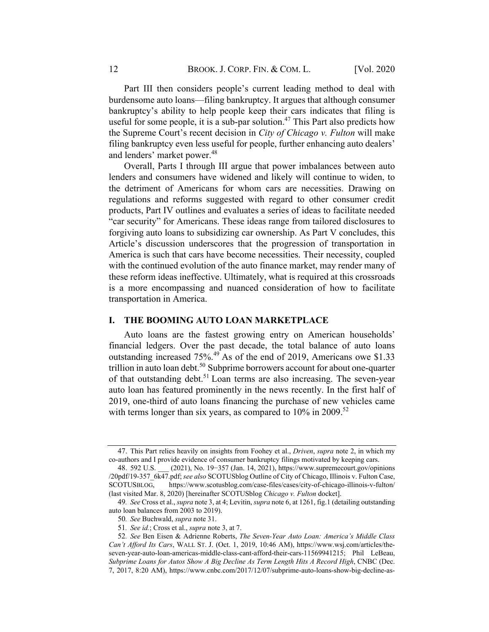Part III then considers people's current leading method to deal with burdensome auto loans—filing bankruptcy. It argues that although consumer bankruptcy's ability to help people keep their cars indicates that filing is useful for some people, it is a sub-par solution.<sup>47</sup> This Part also predicts how the Supreme Court's recent decision in City of Chicago v. Fulton will make filing bankruptcy even less useful for people, further enhancing auto dealers' and lenders' market power.<sup>48</sup>

Overall, Parts I through III argue that power imbalances between auto lenders and consumers have widened and likely will continue to widen, to the detriment of Americans for whom cars are necessities. Drawing on regulations and reforms suggested with regard to other consumer credit products, Part IV outlines and evaluates a series of ideas to facilitate needed "car security" for Americans. These ideas range from tailored disclosures to forgiving auto loans to subsidizing car ownership. As Part V concludes, this Article's discussion underscores that the progression of transportation in America is such that cars have become necessities. Their necessity, coupled with the continued evolution of the auto finance market, may render many of these reform ideas ineffective. Ultimately, what is required at this crossroads is a more encompassing and nuanced consideration of how to facilitate transportation in America.

# I. THE BOOMING AUTO LOAN MARKETPLACE

Auto loans are the fastest growing entry on American households' financial ledgers. Over the past decade, the total balance of auto loans outstanding increased 75%.<sup>49</sup> As of the end of 2019, Americans owe \$1.33 trillion in auto loan debt.<sup>50</sup> Subprime borrowers account for about one-quarter of that outstanding debt.<sup>51</sup> Loan terms are also increasing. The seven-year auto loan has featured prominently in the news recently. In the first half of 2019, one-third of auto loans financing the purchase of new vehicles came with terms longer than six years, as compared to 10% in 2009.<sup>52</sup>

<sup>47.</sup> This Part relies heavily on insights from Foohey et al., Driven, supra note 2, in which my co-authors and I provide evidence of consumer bankruptcy filings motivated by keeping cars.

<sup>48.</sup> 592 U.S. \_\_\_ (2021), No. 19−357 (Jan. 14, 2021), https://www.supremecourt.gov/opinions /20pdf/19-357\_6k47.pdf; see also SCOTUSblog Outline of City of Chicago, Illinois v. Fulton Case, SCOTUSBLOG, https://www.scotusblog.com/case-files/cases/city-of-chicago-illinois-v-fulton/ (last visited Mar. 8, 2020) [hereinafter SCOTUSblog Chicago v. Fulton docket].

<sup>49</sup>. See Cross et al., supra note 3, at 4; Levitin, supra note 6, at 1261, fig.1 (detailing outstanding auto loan balances from 2003 to 2019).

<sup>50</sup>. See Buchwald, supra note 31.

<sup>51</sup>. See id.; Cross et al., supra note 3, at 7.

<sup>52</sup>. See Ben Eisen & Adrienne Roberts, The Seven-Year Auto Loan: America's Middle Class Can't Afford Its Cars, WALL ST. J. (Oct. 1, 2019, 10:46 AM), https://www.wsj.com/articles/theseven-year-auto-loan-americas-middle-class-cant-afford-their-cars-11569941215; Phil LeBeau, Subprime Loans for Autos Show A Big Decline As Term Length Hits A Record High, CNBC (Dec. 7, 2017, 8:20 AM), https://www.cnbc.com/2017/12/07/subprime-auto-loans-show-big-decline-as-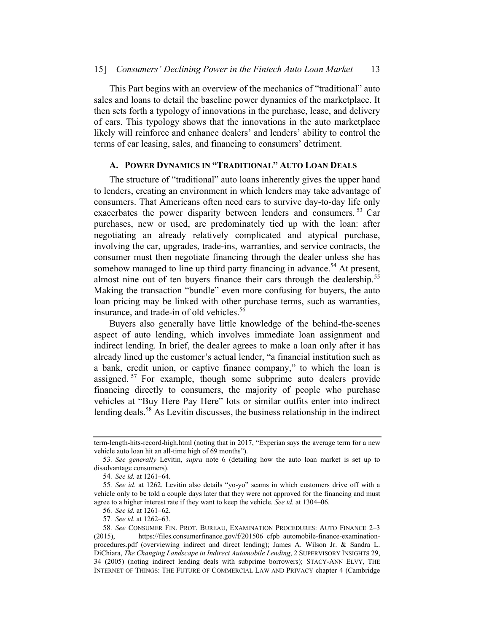This Part begins with an overview of the mechanics of "traditional" auto sales and loans to detail the baseline power dynamics of the marketplace. It then sets forth a typology of innovations in the purchase, lease, and delivery of cars. This typology shows that the innovations in the auto marketplace likely will reinforce and enhance dealers' and lenders' ability to control the terms of car leasing, sales, and financing to consumers' detriment.

# A. POWER DYNAMICS IN "TRADITIONAL" AUTO LOAN DEALS

The structure of "traditional" auto loans inherently gives the upper hand to lenders, creating an environment in which lenders may take advantage of consumers. That Americans often need cars to survive day-to-day life only exacerbates the power disparity between lenders and consumers.<sup>53</sup> Car purchases, new or used, are predominately tied up with the loan: after negotiating an already relatively complicated and atypical purchase, involving the car, upgrades, trade-ins, warranties, and service contracts, the consumer must then negotiate financing through the dealer unless she has somehow managed to line up third party financing in advance.<sup>54</sup> At present, almost nine out of ten buyers finance their cars through the dealership.<sup>55</sup> Making the transaction "bundle" even more confusing for buyers, the auto loan pricing may be linked with other purchase terms, such as warranties, insurance, and trade-in of old vehicles.<sup>56</sup>

Buyers also generally have little knowledge of the behind-the-scenes aspect of auto lending, which involves immediate loan assignment and indirect lending. In brief, the dealer agrees to make a loan only after it has already lined up the customer's actual lender, "a financial institution such as a bank, credit union, or captive finance company," to which the loan is assigned.<sup>57</sup> For example, though some subprime auto dealers provide financing directly to consumers, the majority of people who purchase vehicles at "Buy Here Pay Here" lots or similar outfits enter into indirect lending deals.<sup>58</sup> As Levitin discusses, the business relationship in the indirect

term-length-hits-record-high.html (noting that in 2017, "Experian says the average term for a new vehicle auto loan hit an all-time high of 69 months").

<sup>53</sup>. See generally Levitin, supra note 6 (detailing how the auto loan market is set up to disadvantage consumers).

<sup>54</sup>. See id. at 1261–64.

<sup>55</sup>. See id. at 1262. Levitin also details "yo-yo" scams in which customers drive off with a vehicle only to be told a couple days later that they were not approved for the financing and must agree to a higher interest rate if they want to keep the vehicle. See id. at 1304–06.

<sup>56</sup>. See id. at 1261–62.

<sup>57</sup>. See id. at 1262–63.

<sup>58</sup>. See CONSUMER FIN. PROT. BUREAU, EXAMINATION PROCEDURES: AUTO FINANCE 2–3 (2015), https://files.consumerfinance.gov/f/201506 cfpb automobile-finance-examinationprocedures.pdf (overviewing indirect and direct lending); James A. Wilson Jr. & Sandra L. DiChiara, The Changing Landscape in Indirect Automobile Lending, 2 SUPERVISORY INSIGHTS 29, 34 (2005) (noting indirect lending deals with subprime borrowers); STACY-ANN ELVY, THE INTERNET OF THINGS: THE FUTURE OF COMMERCIAL LAW AND PRIVACY chapter 4 (Cambridge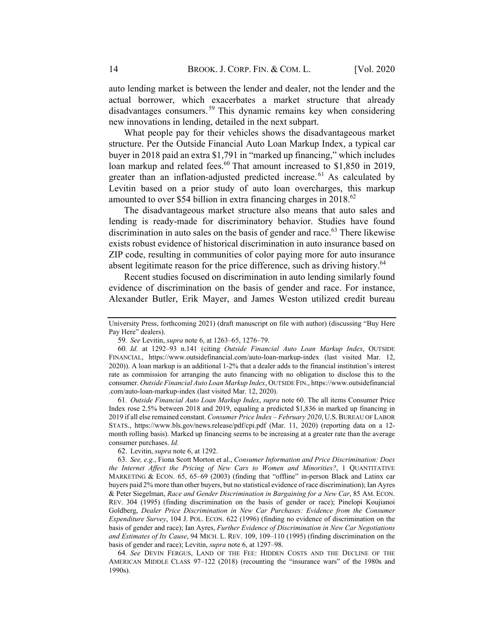auto lending market is between the lender and dealer, not the lender and the actual borrower, which exacerbates a market structure that already disadvantages consumers. <sup>59</sup> This dynamic remains key when considering new innovations in lending, detailed in the next subpart.

What people pay for their vehicles shows the disadvantageous market structure. Per the Outside Financial Auto Loan Markup Index, a typical car buyer in 2018 paid an extra \$1,791 in "marked up financing," which includes loan markup and related fees.<sup>60</sup> That amount increased to \$1,850 in 2019, greater than an inflation-adjusted predicted increase.<sup>61</sup> As calculated by Levitin based on a prior study of auto loan overcharges, this markup amounted to over \$54 billion in extra financing charges in 2018.<sup>62</sup>

The disadvantageous market structure also means that auto sales and lending is ready-made for discriminatory behavior. Studies have found discrimination in auto sales on the basis of gender and race.<sup>63</sup> There likewise exists robust evidence of historical discrimination in auto insurance based on ZIP code, resulting in communities of color paying more for auto insurance absent legitimate reason for the price difference, such as driving history.<sup>64</sup>

Recent studies focused on discrimination in auto lending similarly found evidence of discrimination on the basis of gender and race. For instance, Alexander Butler, Erik Mayer, and James Weston utilized credit bureau

61. Outside Financial Auto Loan Markup Index, supra note 60. The all items Consumer Price Index rose 2.5% between 2018 and 2019, equaling a predicted \$1,836 in marked up financing in 2019 if all else remained constant. Consumer Price Index - February 2020, U.S. BUREAU OF LABOR STATS., https://www.bls.gov/news.release/pdf/cpi.pdf (Mar. 11, 2020) (reporting data on a 12 month rolling basis). Marked up financing seems to be increasing at a greater rate than the average consumer purchases. Id.

62. Levitin, supra note 6, at 1292.

63. See, e.g., Fiona Scott Morton et al., Consumer Information and Price Discrimination: Does the Internet Affect the Pricing of New Cars to Women and Minorities?, 1 QUANTITATIVE MARKETING & ECON. 65, 65–69 (2003) (finding that "offline" in-person Black and Latinx car buyers paid 2% more than other buyers, but no statistical evidence of race discrimination); Ian Ayres & Peter Siegelman, Race and Gender Discrimination in Bargaining for a New Car, 85 AM. ECON. REV. 304 (1995) (finding discrimination on the basis of gender or race); Pinelopi Koujianoi Goldberg, Dealer Price Discrimination in New Car Purchases: Evidence from the Consumer Expenditure Survey, 104 J. POL. ECON. 622 (1996) (finding no evidence of discrimination on the basis of gender and race); Ian Ayres, Further Evidence of Discrimination in New Car Negotiations and Estimates of Its Cause, 94 MICH. L. REV. 109, 109–110 (1995) (finding discrimination on the basis of gender and race); Levitin, supra note 6, at 1297–98.

64. See DEVIN FERGUS, LAND OF THE FEE: HIDDEN COSTS AND THE DECLINE OF THE AMERICAN MIDDLE CLASS 97–122 (2018) (recounting the "insurance wars" of the 1980s and 1990s).

University Press, forthcoming 2021) (draft manuscript on file with author) (discussing "Buy Here Pay Here" dealers).

<sup>59</sup>. See Levitin, supra note 6, at 1263–65, 1276–79.

<sup>60</sup>. Id. at 1292–93 n.141 (citing Outside Financial Auto Loan Markup Index, OUTSIDE FINANCIAL, https://www.outsidefinancial.com/auto-loan-markup-index (last visited Mar. 12, 2020)). A loan markup is an additional 1-2% that a dealer adds to the financial institution's interest rate as commission for arranging the auto financing with no obligation to disclose this to the consumer. Outside Financial Auto Loan Markup Index, OUTSIDE FIN., https://www.outsidefinancial .com/auto-loan-markup-index (last visited Mar. 12, 2020).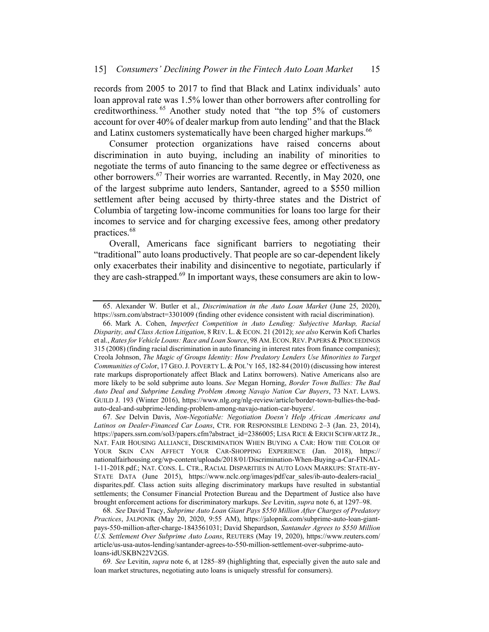records from 2005 to 2017 to find that Black and Latinx individuals' auto loan approval rate was 1.5% lower than other borrowers after controlling for creditworthiness. <sup>65</sup> Another study noted that "the top 5% of customers account for over 40% of dealer markup from auto lending" and that the Black and Latinx customers systematically have been charged higher markups.<sup>66</sup>

Consumer protection organizations have raised concerns about discrimination in auto buying, including an inability of minorities to negotiate the terms of auto financing to the same degree or effectiveness as other borrowers.<sup>67</sup> Their worries are warranted. Recently, in May 2020, one of the largest subprime auto lenders, Santander, agreed to a \$550 million settlement after being accused by thirty-three states and the District of Columbia of targeting low-income communities for loans too large for their incomes to service and for charging excessive fees, among other predatory practices. 68

Overall, Americans face significant barriers to negotiating their "traditional" auto loans productively. That people are so car-dependent likely only exacerbates their inability and disincentive to negotiate, particularly if they are cash-strapped.<sup>69</sup> In important ways, these consumers are akin to low-

<sup>65.</sup> Alexander W. Butler et al., Discrimination in the Auto Loan Market (June 25, 2020), https://ssrn.com/abstract=3301009 (finding other evidence consistent with racial discrimination).

<sup>66.</sup> Mark A. Cohen, Imperfect Competition in Auto Lending: Subjective Markup, Racial Disparity, and Class Action Litigation, 8 REV. L. & ECON. 21 (2012); see also Kerwin Kofi Charles et al., Ratesfor Vehicle Loans: Race and Loan Source, 98 AM.ECON.REV. PAPERS& PROCEEDINGS 315 (2008) (finding racial discrimination in auto financing in interest ratesfrom finance companies); Creola Johnson, The Magic of Groups Identity: How Predatory Lenders Use Minorities to Target Communities of Color, 17 GEO. J. POVERTY L. & POL'Y 165, 182-84 (2010) (discussing how interest rate markups disproportionately affect Black and Latinx borrowers). Native Americans also are more likely to be sold subprime auto loans. See Megan Horning, Border Town Bullies: The Bad Auto Deal and Subprime Lending Problem Among Navajo Nation Car Buyers, 73 NAT. LAWS. GUILD J. 193 (Winter 2016), https://www.nlg.org/nlg-review/article/border-town-bullies-the-badauto-deal-and-subprime-lending-problem-among-navajo-nation-car-buyers/.

<sup>67</sup>. See Delvin Davis, Non-Negotiable: Negotiation Doesn't Help African Americans and Latinos on Dealer-Financed Car Loans, CTR. FOR RESPONSIBLE LENDING 2–3 (Jan. 23, 2014), https://papers.ssrn.com/sol3/papers.cfm?abstract\_id=2386005; LISA RICE & ERICH SCHWARTZ JR., NAT. FAIR HOUSING ALLIANCE, DISCRIMINATION WHEN BUYING A CAR: HOW THE COLOR OF YOUR SKIN CAN AFFECT YOUR CAR-SHOPPING EXPERIENCE (Jan. 2018), https:// nationalfairhousing.org/wp-content/uploads/2018/01/Discrimination-When-Buying-a-Car-FINAL-1-11-2018.pdf.; NAT. CONS. L. CTR., RACIAL DISPARITIES IN AUTO LOAN MARKUPS: STATE-BY-STATE DATA (June 2015), https://www.nclc.org/images/pdf/car\_sales/ib-auto-dealers-racial\_ disparites.pdf. Class action suits alleging discriminatory markups have resulted in substantial settlements; the Consumer Financial Protection Bureau and the Department of Justice also have brought enforcement actions for discriminatory markups. See Levitin, supra note 6, at 1297–98.

<sup>68</sup>. See David Tracy, Subprime Auto Loan Giant Pays \$550 Million After Charges of Predatory Practices, JALPONIK (May 20, 2020, 9:55 AM), https://jalopnik.com/subprime-auto-loan-giantpays-550-million-after-charge-1843561031; David Shepardson, Santander Agrees to \$550 Million U.S. Settlement Over Subprime Auto Loans, REUTERS (May 19, 2020), https://www.reuters.com/ article/us-usa-autos-lending/santander-agrees-to-550-million-settlement-over-subprime-autoloans-idUSKBN22V2GS.

<sup>69</sup>. See Levitin, supra note 6, at 1285–89 (highlighting that, especially given the auto sale and loan market structures, negotiating auto loans is uniquely stressful for consumers).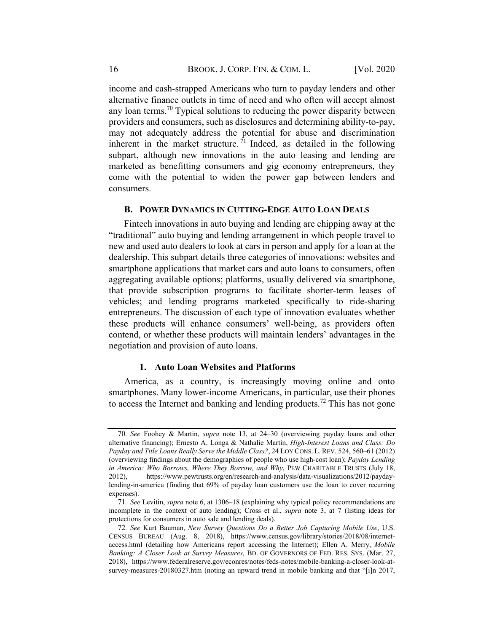income and cash-strapped Americans who turn to payday lenders and other alternative finance outlets in time of need and who often will accept almost any loan terms.<sup>70</sup> Typical solutions to reducing the power disparity between providers and consumers, such as disclosures and determining ability-to-pay, may not adequately address the potential for abuse and discrimination inherent in the market structure.  $\hat{1}$  Indeed, as detailed in the following subpart, although new innovations in the auto leasing and lending are marketed as benefitting consumers and gig economy entrepreneurs, they come with the potential to widen the power gap between lenders and consumers.

#### **B. POWER DYNAMICS IN CUTTING-EDGE AUTO LOAN DEALS**

Fintech innovations in auto buying and lending are chipping away at the "traditional" auto buying and lending arrangement in which people travel to new and used auto dealers to look at cars in person and apply for a loan at the dealership. This subpart details three categories of innovations: websites and smartphone applications that market cars and auto loans to consumers, often aggregating available options; platforms, usually delivered via smartphone, that provide subscription programs to facilitate shorter-term leases of vehicles; and lending programs marketed specifically to ride-sharing entrepreneurs. The discussion of each type of innovation evaluates whether these products will enhance consumers' well-being, as providers often contend, or whether these products will maintain lenders' advantages in the negotiation and provision of auto loans.

#### 1. Auto Loan Websites and Platforms

America, as a country, is increasingly moving online and onto smartphones. Many lower-income Americans, in particular, use their phones to access the Internet and banking and lending products.<sup>72</sup> This has not gone

<sup>70</sup>. See Foohey & Martin, supra note 13, at 24–30 (overviewing payday loans and other alternative financing); Ernesto A. Longa & Nathalie Martin, High-Interest Loans and Class: Do Payday and Title Loans Really Serve the Middle Class?, 24 LOY CONS. L. REV. 524, 560–61 (2012) (overviewing findings about the demographics of people who use high-cost loan); Payday Lending in America: Who Borrows, Where They Borrow, and Why, PEW CHARITABLE TRUSTS (July 18, 2012), https://www.pewtrusts.org/en/research-and-analysis/data-visualizations/2012/paydaylending-in-america (finding that 69% of payday loan customers use the loan to cover recurring expenses).

<sup>71</sup>. See Levitin, supra note 6, at 1306–18 (explaining why typical policy recommendations are incomplete in the context of auto lending); Cross et al., supra note 3, at 7 (listing ideas for protections for consumers in auto sale and lending deals).

<sup>72</sup>. See Kurt Bauman, New Survey Questions Do a Better Job Capturing Mobile Use, U.S. CENSUS BUREAU (Aug. 8, 2018), https://www.census.gov/library/stories/2018/08/internetaccess.html (detailing how Americans report accessing the Internet); Ellen A. Merry, Mobile Banking: A Closer Look at Survey Measures, BD. OF GOVERNORS OF FED. RES. SYS. (Mar. 27, 2018), https://www.federalreserve.gov/econres/notes/feds-notes/mobile-banking-a-closer-look-atsurvey-measures-20180327.htm (noting an upward trend in mobile banking and that "[i]n 2017,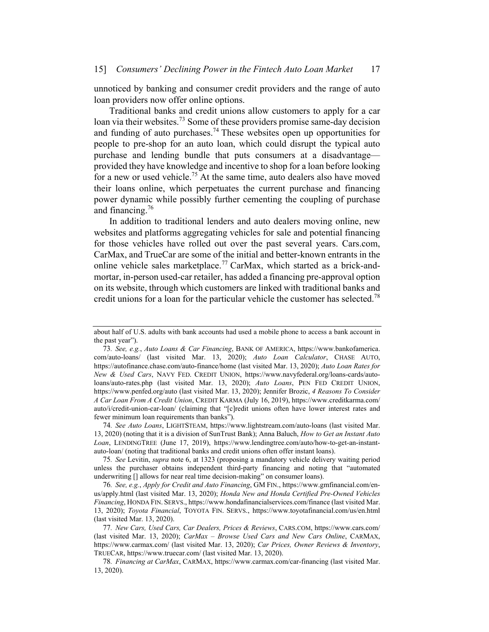unnoticed by banking and consumer credit providers and the range of auto loan providers now offer online options.

Traditional banks and credit unions allow customers to apply for a car loan via their websites.<sup>73</sup> Some of these providers promise same-day decision and funding of auto purchases.<sup>74</sup> These websites open up opportunities for people to pre-shop for an auto loan, which could disrupt the typical auto purchase and lending bundle that puts consumers at a disadvantage provided they have knowledge and incentive to shop for a loan before looking for a new or used vehicle.<sup>75</sup> At the same time, auto dealers also have moved their loans online, which perpetuates the current purchase and financing power dynamic while possibly further cementing the coupling of purchase and financing. 76

In addition to traditional lenders and auto dealers moving online, new websites and platforms aggregating vehicles for sale and potential financing for those vehicles have rolled out over the past several years. Cars.com, CarMax, and TrueCar are some of the initial and better-known entrants in the online vehicle sales marketplace.<sup>77</sup> CarMax, which started as a brick-andmortar, in-person used-car retailer, has added a financing pre-approval option on its website, through which customers are linked with traditional banks and credit unions for a loan for the particular vehicle the customer has selected.<sup>78</sup>

74. See Auto Loans, LIGHTSTEAM, https://www.lightstream.com/auto-loans (last visited Mar. 13, 2020) (noting that it is a division of SunTrust Bank); Anna Baluch, How to Get an Instant Auto Loan, LENDINGTREE (June 17, 2019), https://www.lendingtree.com/auto/how-to-get-an-instantauto-loan/ (noting that traditional banks and credit unions often offer instant loans).

75. See Levitin, supra note 6, at 1323 (proposing a mandatory vehicle delivery waiting period unless the purchaser obtains independent third-party financing and noting that "automated underwriting [] allows for near real time decision-making" on consumer loans).

76. See, e.g., Apply for Credit and Auto Financing, GM FIN., https://www.gmfinancial.com/enus/apply.html (last visited Mar. 13, 2020); Honda New and Honda Certified Pre-Owned Vehicles Financing, HONDA FIN. SERVS., https://www.hondafinancialservices.com/finance (last visited Mar. 13, 2020); Toyota Financial, TOYOTA FIN. SERVS., https://www.toyotafinancial.com/us/en.html (last visited Mar. 13, 2020).

77. New Cars, Used Cars, Car Dealers, Prices & Reviews, CARS.COM, https://www.cars.com/ (last visited Mar. 13, 2020); CarMax – Browse Used Cars and New Cars Online, CARMAX, https://www.carmax.com/ (last visited Mar. 13, 2020); Car Prices, Owner Reviews & Inventory, TRUECAR, https://www.truecar.com/ (last visited Mar. 13, 2020).

about half of U.S. adults with bank accounts had used a mobile phone to access a bank account in the past year").

<sup>73</sup>. See, e.g., Auto Loans & Car Financing, BANK OF AMERICA, https://www.bankofamerica. com/auto-loans/ (last visited Mar. 13, 2020); Auto Loan Calculator, CHASE AUTO, https://autofinance.chase.com/auto-finance/home (last visited Mar. 13, 2020); Auto Loan Rates for New & Used Cars, NAVY FED. CREDIT UNION, https://www.navyfederal.org/loans-cards/autoloans/auto-rates.php (last visited Mar. 13, 2020); Auto Loans, PEN FED CREDIT UNION, https://www.penfed.org/auto (last visited Mar. 13, 2020); Jennifer Brozic, 4 Reasons To Consider A Car Loan From A Credit Union, CREDIT KARMA (July 16, 2019), https://www.creditkarma.com/ auto/i/credit-union-car-loan/ (claiming that "[c]redit unions often have lower interest rates and fewer minimum loan requirements than banks").

<sup>78.</sup> Financing at CarMax, CARMAX, https://www.carmax.com/car-financing (last visited Mar. 13, 2020).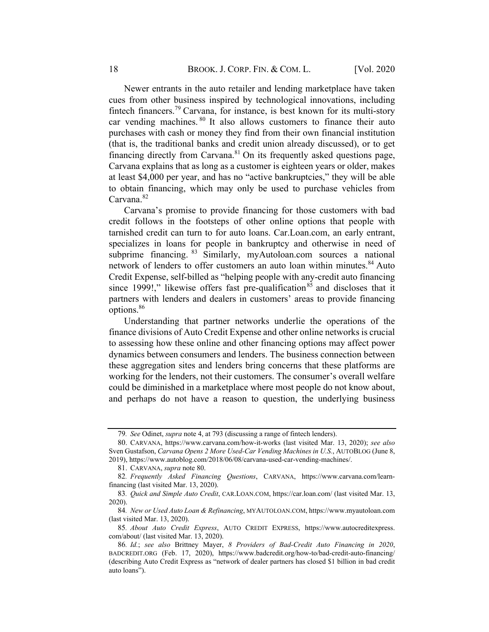Newer entrants in the auto retailer and lending marketplace have taken cues from other business inspired by technological innovations, including fintech financers.<sup>79</sup> Carvana, for instance, is best known for its multi-story car vending machines. <sup>80</sup> It also allows customers to finance their auto purchases with cash or money they find from their own financial institution (that is, the traditional banks and credit union already discussed), or to get financing directly from Carvana.<sup>81</sup> On its frequently asked questions page, Carvana explains that as long as a customer is eighteen years or older, makes at least \$4,000 per year, and has no "active bankruptcies," they will be able to obtain financing, which may only be used to purchase vehicles from Carvana.<sup>82</sup>

Carvana's promise to provide financing for those customers with bad credit follows in the footsteps of other online options that people with tarnished credit can turn to for auto loans. Car.Loan.com, an early entrant, specializes in loans for people in bankruptcy and otherwise in need of subprime financing. <sup>83</sup> Similarly, myAutoloan.com sources a national network of lenders to offer customers an auto loan within minutes.<sup>84</sup> Auto Credit Expense, self-billed as "helping people with any-credit auto financing since 1999!," likewise offers fast pre-qualification<sup>85</sup> and discloses that it partners with lenders and dealers in customers' areas to provide financing options. 86

Understanding that partner networks underlie the operations of the finance divisions of Auto Credit Expense and other online networks is crucial to assessing how these online and other financing options may affect power dynamics between consumers and lenders. The business connection between these aggregation sites and lenders bring concerns that these platforms are working for the lenders, not their customers. The consumer's overall welfare could be diminished in a marketplace where most people do not know about, and perhaps do not have a reason to question, the underlying business

81. CARVANA, supra note 80.

<sup>79</sup>. See Odinet, supra note 4, at 793 (discussing a range of fintech lenders).

<sup>80.</sup> CARVANA, https://www.carvana.com/how-it-works (last visited Mar. 13, 2020); see also Sven Gustafson, Carvana Opens 2 More Used-Car Vending Machines in U.S., AUTOBLOG (June 8, 2019), https://www.autoblog.com/2018/06/08/carvana-used-car-vending-machines/.

<sup>82</sup>. Frequently Asked Financing Questions, CARVANA, https://www.carvana.com/learnfinancing (last visited Mar. 13, 2020).

<sup>83</sup>. Quick and Simple Auto Credit, CAR.LOAN.COM, https://car.loan.com/ (last visited Mar. 13, 2020).

<sup>84</sup>. New or Used Auto Loan & Refinancing, MYAUTOLOAN.COM, https://www.myautoloan.com (last visited Mar. 13, 2020).

<sup>85</sup>. About Auto Credit Express, AUTO CREDIT EXPRESS, https://www.autocreditexpress. com/about/ (last visited Mar. 13, 2020).

<sup>86</sup>. Id.; see also Brittney Mayer, 8 Providers of Bad-Credit Auto Financing in 2020, BADCREDIT.ORG (Feb. 17, 2020), https://www.badcredit.org/how-to/bad-credit-auto-financing/ (describing Auto Credit Express as "network of dealer partners has closed \$1 billion in bad credit auto loans").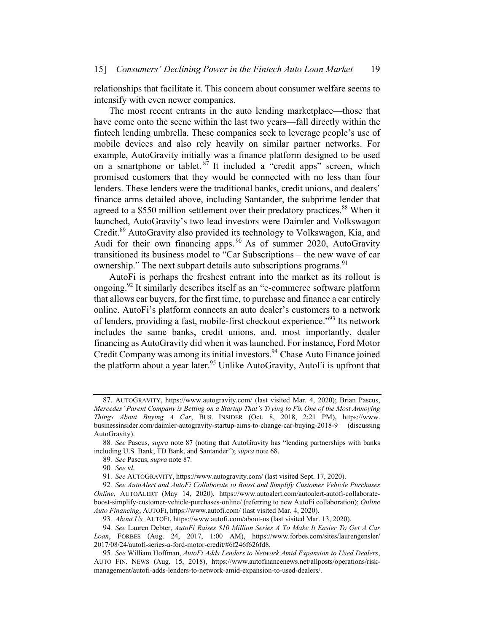relationships that facilitate it. This concern about consumer welfare seems to intensify with even newer companies.

The most recent entrants in the auto lending marketplace—those that have come onto the scene within the last two years—fall directly within the fintech lending umbrella. These companies seek to leverage people's use of mobile devices and also rely heavily on similar partner networks. For example, AutoGravity initially was a finance platform designed to be used on a smartphone or tablet.<sup>87</sup> It included a "credit apps" screen, which promised customers that they would be connected with no less than four lenders. These lenders were the traditional banks, credit unions, and dealers' finance arms detailed above, including Santander, the subprime lender that agreed to a \$550 million settlement over their predatory practices.<sup>88</sup> When it launched, AutoGravity's two lead investors were Daimler and Volkswagon Credit.<sup>89</sup> AutoGravity also provided its technology to Volkswagon, Kia, and Audi for their own financing apps.<sup>90</sup> As of summer 2020, AutoGravity transitioned its business model to "Car Subscriptions – the new wave of car ownership." The next subpart details auto subscriptions programs.<sup>91</sup>

AutoFi is perhaps the freshest entrant into the market as its rollout is ongoing.<sup>92</sup> It similarly describes itself as an "e-commerce software platform that allows car buyers, for the first time, to purchase and finance a car entirely online. AutoFi's platform connects an auto dealer's customers to a network of lenders, providing a fast, mobile-first checkout experience."<sup>93</sup> Its network includes the same banks, credit unions, and, most importantly, dealer financing as AutoGravity did when it was launched. For instance, Ford Motor Credit Company was among its initial investors.<sup>94</sup> Chase Auto Finance joined the platform about a year later.<sup>95</sup> Unlike AutoGravity, AutoFi is upfront that

<sup>87.</sup> AUTOGRAVITY, https://www.autogravity.com/ (last visited Mar. 4, 2020); Brian Pascus, Mercedes' Parent Company is Betting on a Startup That's Trying to Fix One of the Most Annoying Things About Buying A Car, BUS. INSIDER (Oct. 8, 2018, 2:21 PM), https://www. businessinsider.com/daimler-autogravity-startup-aims-to-change-car-buying-2018-9 (discussing AutoGravity).

<sup>88.</sup> See Pascus, *supra* note 87 (noting that AutoGravity has "lending partnerships with banks including U.S. Bank, TD Bank, and Santander"); supra note 68.

<sup>89</sup>. See Pascus, supra note 87.

<sup>90</sup>. See id.

<sup>91</sup>. See AUTOGRAVITY, https://www.autogravity.com/ (last visited Sept. 17, 2020).

<sup>92.</sup> See AutoAlert and AutoFi Collaborate to Boost and Simplify Customer Vehicle Purchases Online, AUTOALERT (May 14, 2020), https://www.autoalert.com/autoalert-autofi-collaborateboost-simplify-customer-vehicle-purchases-online/ (referring to new AutoFi collaboration); Online Auto Financing, AUTOFI, https://www.autofi.com/ (last visited Mar. 4, 2020).

<sup>93</sup>. About Us, AUTOFI, https://www.autofi.com/about-us (last visited Mar. 13, 2020).

<sup>94</sup>. See Lauren Debter, AutoFi Raises \$10 Million Series A To Make It Easier To Get A Car Loan, FORBES (Aug. 24, 2017, 1:00 AM), https://www.forbes.com/sites/laurengensler/ 2017/08/24/autofi-series-a-ford-motor-credit/#6f246f626fd8.

<sup>95</sup>. See William Hoffman, AutoFi Adds Lenders to Network Amid Expansion to Used Dealers, AUTO FIN. NEWS (Aug. 15, 2018), https://www.autofinancenews.net/allposts/operations/riskmanagement/autofi-adds-lenders-to-network-amid-expansion-to-used-dealers/.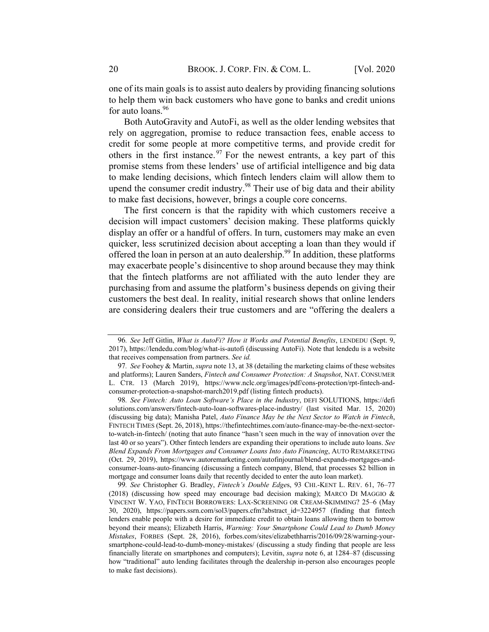one of its main goals is to assist auto dealers by providing financing solutions to help them win back customers who have gone to banks and credit unions for auto loans.96

Both AutoGravity and AutoFi, as well as the older lending websites that rely on aggregation, promise to reduce transaction fees, enable access to credit for some people at more competitive terms, and provide credit for others in the first instance.  $97$  For the newest entrants, a key part of this promise stems from these lenders' use of artificial intelligence and big data to make lending decisions, which fintech lenders claim will allow them to upend the consumer credit industry.<sup>98</sup> Their use of big data and their ability to make fast decisions, however, brings a couple core concerns.

The first concern is that the rapidity with which customers receive a decision will impact customers' decision making. These platforms quickly display an offer or a handful of offers. In turn, customers may make an even quicker, less scrutinized decision about accepting a loan than they would if offered the loan in person at an auto dealership.<sup>99</sup> In addition, these platforms may exacerbate people's disincentive to shop around because they may think that the fintech platforms are not affiliated with the auto lender they are purchasing from and assume the platform's business depends on giving their customers the best deal. In reality, initial research shows that online lenders are considering dealers their true customers and are "offering the dealers a

<sup>96</sup>. See Jeff Gitlin, What is AutoFi? How it Works and Potential Benefits, LENDEDU (Sept. 9, 2017), https://lendedu.com/blog/what-is-autofi (discussing AutoFi). Note that lendedu is a website that receives compensation from partners. See id.

<sup>97.</sup> See Foohey & Martin, *supra* note 13, at 38 (detailing the marketing claims of these websites and platforms); Lauren Sanders, Fintech and Consumer Protection: A Snapshot, NAT. CONSUMER L. CTR. 13 (March 2019), https://www.nclc.org/images/pdf/cons-protection/rpt-fintech-andconsumer-protection-a-snapshot-march2019.pdf (listing fintech products).

<sup>98</sup>. See Fintech: Auto Loan Software's Place in the Industry, DEFI SOLUTIONS, https://defi solutions.com/answers/fintech-auto-loan-softwares-place-industry/ (last visited Mar. 15, 2020) (discussing big data); Manisha Patel, Auto Finance May be the Next Sector to Watch in Fintech, FINTECH TIMES (Sept. 26, 2018), https://thefintechtimes.com/auto-finance-may-be-the-next-sectorto-watch-in-fintech/ (noting that auto finance "hasn't seen much in the way of innovation over the last 40 or so years"). Other fintech lenders are expanding their operations to include auto loans. See Blend Expands From Mortgages and Consumer Loans Into Auto Financing, AUTO REMARKETING (Oct. 29, 2019), https://www.autoremarketing.com/autofinjournal/blend-expands-mortgages-andconsumer-loans-auto-financing (discussing a fintech company, Blend, that processes \$2 billion in mortgage and consumer loans daily that recently decided to enter the auto loan market).

<sup>99</sup>. See Christopher G. Bradley, Fintech's Double Edges, 93 CHI.-KENT L. REV. 61, 76–77 (2018) (discussing how speed may encourage bad decision making); MARCO DI MAGGIO & VINCENT W. YAO, FINTECH BORROWERS: LAX-SCREENING OR CREAM-SKIMMING? 25–6 (May 30, 2020), https://papers.ssrn.com/sol3/papers.cfm?abstract\_id=3224957 (finding that fintech lenders enable people with a desire for immediate credit to obtain loans allowing them to borrow beyond their means); Elizabeth Harris, *Warning: Your Smartphone Could Lead to Dumb Money* Mistakes, FORBES (Sept. 28, 2016), forbes.com/sites/elizabethharris/2016/09/28/warning-yoursmartphone-could-lead-to-dumb-money-mistakes/ (discussing a study finding that people are less financially literate on smartphones and computers); Levitin, supra note 6, at 1284–87 (discussing how "traditional" auto lending facilitates through the dealership in-person also encourages people to make fast decisions).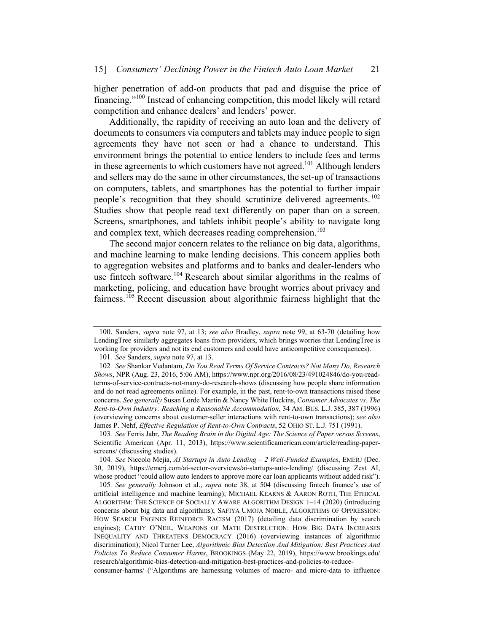higher penetration of add-on products that pad and disguise the price of financing."100 Instead of enhancing competition, this model likely will retard competition and enhance dealers' and lenders' power.

Additionally, the rapidity of receiving an auto loan and the delivery of documents to consumers via computers and tablets may induce people to sign agreements they have not seen or had a chance to understand. This environment brings the potential to entice lenders to include fees and terms in these agreements to which customers have not agreed.<sup>101</sup> Although lenders and sellers may do the same in other circumstances, the set-up of transactions on computers, tablets, and smartphones has the potential to further impair people's recognition that they should scrutinize delivered agreements.<sup>102</sup> Studies show that people read text differently on paper than on a screen. Screens, smartphones, and tablets inhibit people's ability to navigate long and complex text, which decreases reading comprehension.<sup>103</sup>

The second major concern relates to the reliance on big data, algorithms, and machine learning to make lending decisions. This concern applies both to aggregation websites and platforms and to banks and dealer-lenders who use fintech software.<sup>104</sup> Research about similar algorithms in the realms of marketing, policing, and education have brought worries about privacy and fairness.<sup>105</sup> Recent discussion about algorithmic fairness highlight that the

consumer-harms/ ("Algorithms are harnessing volumes of macro- and micro-data to influence

<sup>100.</sup> Sanders, *supra* note 97, at 13; see also Bradley, *supra* note 99, at 63-70 (detailing how LendingTree similarly aggregates loans from providers, which brings worries that LendingTree is working for providers and not its end customers and could have anticompetitive consequences).

<sup>101.</sup> See Sanders, *supra* note 97, at 13.

<sup>102</sup>. See Shankar Vedantam, Do You Read Terms Of Service Contracts? Not Many Do, Research Shows, NPR (Aug. 23, 2016, 5:06 AM), https://www.npr.org/2016/08/23/491024846/do-you-readterms-of-service-contracts-not-many-do-research-shows (discussing how people share information and do not read agreements online). For example, in the past, rent-to-own transactions raised these concerns. See generally Susan Lorde Martin & Nancy White Huckins, Consumer Advocates vs. The Rent-to-Own Industry: Reaching a Reasonable Accommodation, 34 AM. BUS. L.J. 385, 387 (1996) (overviewing concerns about customer-seller interactions with rent-to-own transactions); see also James P. Nehf, Effective Regulation of Rent-to-Own Contracts, 52 OHIO ST. L.J. 751 (1991).

<sup>103</sup>. See Ferris Jabr, The Reading Brain in the Digital Age: The Science of Paper versus Screens, Scientific American (Apr. 11, 2013), https://www.scientificamerican.com/article/reading-paperscreens/ (discussing studies).

<sup>104.</sup> See Niccolo Mejia, AI Startups in Auto Lending - 2 Well-Funded Examples, EMERJ (Dec. 30, 2019), https://emerj.com/ai-sector-overviews/ai-startups-auto-lending/ (discussing Zest AI, whose product "could allow auto lenders to approve more car loan applicants without added risk").

<sup>105</sup>. See generally Johnson et al., supra note 38, at 504 (discussing fintech finance's use of artificial intelligence and machine learning); MICHAEL KEARNS & AARON ROTH, THE ETHICAL ALGORITHM: THE SCIENCE OF SOCIALLY AWARE ALGORITHM DESIGN 1–14 (2020) (introducing concerns about big data and algorithms); SAFIYA UMOJA NOBLE, ALGORITHMS OF OPPRESSION: HOW SEARCH ENGINES REINFORCE RACISM (2017) (detailing data discrimination by search engines); CATHY O'NEIL, WEAPONS OF MATH DESTRUCTION: HOW BIG DATA INCREASES INEQUALITY AND THREATENS DEMOCRACY (2016) (overviewing instances of algorithmic discrimination); Nicol Turner Lee, Algorithmic Bias Detection And Mitigation: Best Practices And Policies To Reduce Consumer Harms, BROOKINGS (May 22, 2019), https://www.brookings.edu/ research/algorithmic-bias-detection-and-mitigation-best-practices-and-policies-to-reduce-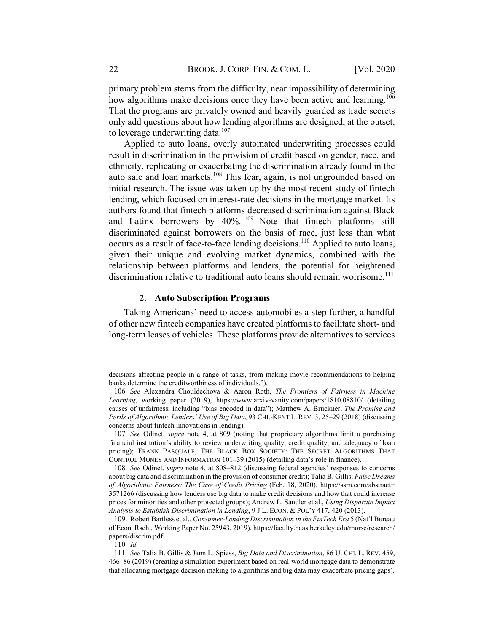primary problem stems from the difficulty, near impossibility of determining how algorithms make decisions once they have been active and learning.<sup>106</sup> That the programs are privately owned and heavily guarded as trade secrets only add questions about how lending algorithms are designed, at the outset, to leverage underwriting data.<sup>107</sup>

Applied to auto loans, overly automated underwriting processes could result in discrimination in the provision of credit based on gender, race, and ethnicity, replicating or exacerbating the discrimination already found in the auto sale and loan markets.<sup>108</sup> This fear, again, is not ungrounded based on initial research. The issue was taken up by the most recent study of fintech lending, which focused on interest-rate decisions in the mortgage market. Its authors found that fintech platforms decreased discrimination against Black and Latinx borrowers by  $40\%$ . <sup>109</sup> Note that fintech platforms still discriminated against borrowers on the basis of race, just less than what occurs as a result of face-to-face lending decisions.<sup>110</sup> Applied to auto loans, given their unique and evolving market dynamics, combined with the relationship between platforms and lenders, the potential for heightened discrimination relative to traditional auto loans should remain worrisome. 111

# 2. Auto Subscription Programs

Taking Americans' need to access automobiles a step further, a handful of other new fintech companies have created platforms to facilitate short- and long-term leases of vehicles. These platforms provide alternatives to services

110. Id.

decisions affecting people in a range of tasks, from making movie recommendations to helping banks determine the creditworthiness of individuals.").

<sup>106</sup>. See Alexandra Chouldechova & Aaron Roth, The Frontiers of Fairness in Machine Learning, working paper (2019), https://www.arxiv-vanity.com/papers/1810.08810/ (detailing causes of unfairness, including "bias encoded in data"); Matthew A. Bruckner, The Promise and Perils of Algorithmic Lenders' Use of Big Data, 93 CHI.-KENT L. REV. 3, 25–29 (2018) (discussing concerns about fintech innovations in lending).

<sup>107</sup>. See Odinet, supra note 4, at 809 (noting that proprietary algorithms limit a purchasing financial institution's ability to review underwriting quality, credit quality, and adequacy of loan pricing); FRANK PASQUALE, THE BLACK BOX SOCIETY: THE SECRET ALGORITHMS THAT CONTROL MONEY AND INFORMATION 101–39 (2015) (detailing data's role in finance).

<sup>108</sup>. See Odinet, supra note 4, at 808–812 (discussing federal agencies' responses to concerns about big data and discrimination in the provision of consumer credit); Talia B. Gillis, False Dreams of Algorithmic Fairness: The Case of Credit Pricing (Feb. 18, 2020), https://ssrn.com/abstract= 3571266 (discussing how lenders use big data to make credit decisions and how that could increase prices for minorities and other protected groups); Andrew L. Sandler et al., Using Disparate Impact Analysis to Establish Discrimination in Lending, 9 J.L. ECON. & POL'Y 417, 420 (2013).

<sup>109.</sup> Robert Bartless et al., Consumer-Lending Discrimination in the FinTech Era 5 (Nat'l Bureau of Econ. Rsch., Working Paper No. 25943, 2019), https://faculty.haas.berkeley.edu/morse/research/ papers/discrim.pdf.

<sup>111</sup>. See Talia B. Gillis & Jann L. Spiess, Big Data and Discrimination, 86 U. CHI. L. REV. 459, 466–86 (2019) (creating a simulation experiment based on real-world mortgage data to demonstrate that allocating mortgage decision making to algorithms and big data may exacerbate pricing gaps).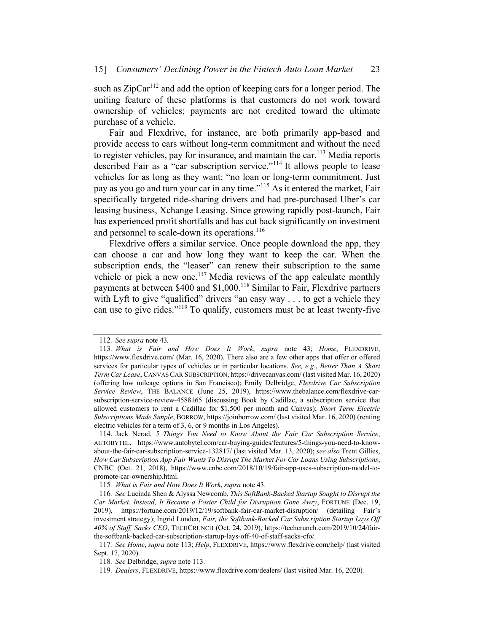such as  $\text{ZipCar}^{112}$  and add the option of keeping cars for a longer period. The uniting feature of these platforms is that customers do not work toward ownership of vehicles; payments are not credited toward the ultimate purchase of a vehicle.

Fair and Flexdrive, for instance, are both primarily app-based and provide access to cars without long-term commitment and without the need to register vehicles, pay for insurance, and maintain the car.<sup>113</sup> Media reports described Fair as a "car subscription service."<sup>114</sup> It allows people to lease vehicles for as long as they want: "no loan or long-term commitment. Just pay as you go and turn your car in any time."115 As it entered the market, Fair specifically targeted ride-sharing drivers and had pre-purchased Uber's car leasing business, Xchange Leasing. Since growing rapidly post-launch, Fair has experienced profit shortfalls and has cut back significantly on investment and personnel to scale-down its operations.<sup>116</sup>

Flexdrive offers a similar service. Once people download the app, they can choose a car and how long they want to keep the car. When the subscription ends, the "leaser" can renew their subscription to the same vehicle or pick a new one.<sup>117</sup> Media reviews of the app calculate monthly payments at between \$400 and \$1,000.<sup>118</sup> Similar to Fair, Flexdrive partners with Lyft to give "qualified" drivers "an easy way . . . to get a vehicle they can use to give rides."<sup>119</sup> To qualify, customers must be at least twenty-five

<sup>112</sup>. See supra note 43.

<sup>113</sup>. What is Fair and How Does It Work, supra note 43; Home, FLEXDRIVE, https://www.flexdrive.com/ (Mar. 16, 2020). There also are a few other apps that offer or offered services for particular types of vehicles or in particular locations. See, e.g., Better Than A Short Term Car Lease, CANVASCAR SUBSCRIPTION, https://drivecanvas.com/ (last visited Mar. 16, 2020) (offering low mileage options in San Francisco); Emily Delbridge, Flexdrive Car Subscription Service Review, THE BALANCE (June 25, 2019), https://www.thebalance.com/flexdrive-carsubscription-service-review-4588165 (discussing Book by Cadillac, a subscription service that allowed customers to rent a Cadillac for \$1,500 per month and Canvas); Short Term Electric Subscriptions Made Simple, BORROW, https://joinborrow.com/ (last visited Mar. 16, 2020) (renting electric vehicles for a term of 3, 6, or 9 months in Los Angeles).

<sup>114.</sup> Jack Nerad, 5 Things You Need to Know About the Fair Car Subscription Service, AUTOBYTEL, https://www.autobytel.com/car-buying-guides/features/5-things-you-need-to-knowabout-the-fair-car-subscription-service-132817/ (last visited Mar. 13, 2020); see also Trent Gillies, How Car Subscription App Fair Wants To Disrupt The Market For Car Loans Using Subscriptions, CNBC (Oct. 21, 2018), https://www.cnbc.com/2018/10/19/fair-app-uses-subscription-model-topromote-car-ownership.html.

<sup>115</sup>. What is Fair and How Does It Work, supra note 43.

<sup>116</sup>. See Lucinda Shen & Alyssa Newcomb, This SoftBank-Backed Startup Sought to Disrupt the Car Market. Instead, It Became a Poster Child for Disruption Gone Awry, FORTUNE (Dec. 19, 2019), https://fortune.com/2019/12/19/softbank-fair-car-market-disruption/ (detailing Fair's investment strategy); Ingrid Lunden, Fair, the Softbank-Backed Car Subscription Startup Lays Off 40% of Staff, Sacks CEO, TECHCRUNCH (Oct. 24, 2019), https://techcrunch.com/2019/10/24/fairthe-softbank-backed-car-subscription-startup-lays-off-40-of-staff-sacks-cfo/.

<sup>117</sup>. See Home, supra note 113; Help, FLEXDRIVE, https://www.flexdrive.com/help/ (last visited Sept. 17, 2020).

<sup>118.</sup> See Delbridge, supra note 113.

<sup>119</sup>. Dealers, FLEXDRIVE, https://www.flexdrive.com/dealers/ (last visited Mar. 16, 2020).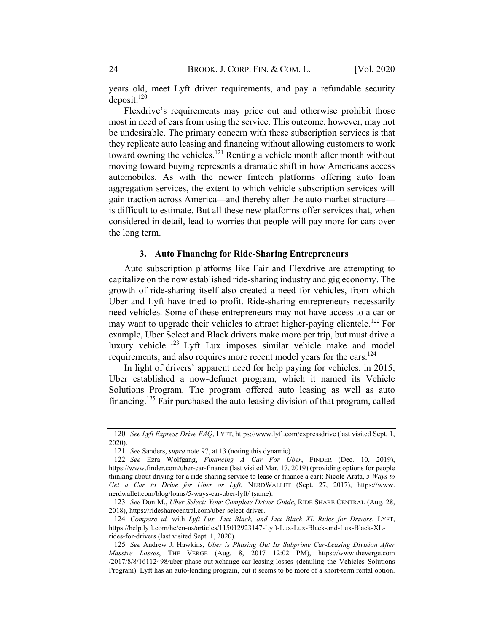years old, meet Lyft driver requirements, and pay a refundable security  $denosit.<sup>120</sup>$ 

Flexdrive's requirements may price out and otherwise prohibit those most in need of cars from using the service. This outcome, however, may not be undesirable. The primary concern with these subscription services is that they replicate auto leasing and financing without allowing customers to work toward owning the vehicles.<sup>121</sup> Renting a vehicle month after month without moving toward buying represents a dramatic shift in how Americans access automobiles. As with the newer fintech platforms offering auto loan aggregation services, the extent to which vehicle subscription services will gain traction across America—and thereby alter the auto market structure is difficult to estimate. But all these new platforms offer services that, when considered in detail, lead to worries that people will pay more for cars over the long term.

#### 3. Auto Financing for Ride-Sharing Entrepreneurs

Auto subscription platforms like Fair and Flexdrive are attempting to capitalize on the now established ride-sharing industry and gig economy. The growth of ride-sharing itself also created a need for vehicles, from which Uber and Lyft have tried to profit. Ride-sharing entrepreneurs necessarily need vehicles. Some of these entrepreneurs may not have access to a car or may want to upgrade their vehicles to attract higher-paying clientele.<sup>122</sup> For example, Uber Select and Black drivers make more per trip, but must drive a luxury vehicle. <sup>123</sup> Lyft Lux imposes similar vehicle make and model requirements, and also requires more recent model years for the cars.<sup>124</sup>

In light of drivers' apparent need for help paying for vehicles, in 2015, Uber established a now-defunct program, which it named its Vehicle Solutions Program. The program offered auto leasing as well as auto financing.<sup>125</sup> Fair purchased the auto leasing division of that program, called

124. Compare id. with Lyft Lux, Lux Black, and Lux Black XL Rides for Drivers, LYFT, https://help.lyft.com/hc/en-us/articles/115012923147-Lyft-Lux-Lux-Black-and-Lux-Black-XLrides-for-drivers (last visited Sept. 1, 2020).

<sup>120.</sup> See Lyft Express Drive FAQ, LYFT, https://www.lyft.com/expressdrive (last visited Sept. 1, 2020).

<sup>121</sup>. See Sanders, supra note 97, at 13 (noting this dynamic).

<sup>122</sup>. See Ezra Wolfgang, Financing A Car For Uber, FINDER (Dec. 10, 2019), https://www.finder.com/uber-car-finance (last visited Mar. 17, 2019) (providing options for people thinking about driving for a ride-sharing service to lease or finance a car); Nicole Arata, 5 Ways to Get a Car to Drive for Uber or Lyft, NERDWALLET (Sept. 27, 2017), https://www. nerdwallet.com/blog/loans/5-ways-car-uber-lyft/ (same).

<sup>123</sup>. See Don M., Uber Select: Your Complete Driver Guide, RIDE SHARE CENTRAL (Aug. 28, 2018), https://ridesharecentral.com/uber-select-driver.

<sup>125</sup>. See Andrew J. Hawkins, Uber is Phasing Out Its Subprime Car-Leasing Division After Massive Losses, THE VERGE (Aug. 8, 2017 12:02 PM), https://www.theverge.com /2017/8/8/16112498/uber-phase-out-xchange-car-leasing-losses (detailing the Vehicles Solutions Program). Lyft has an auto-lending program, but it seems to be more of a short-term rental option.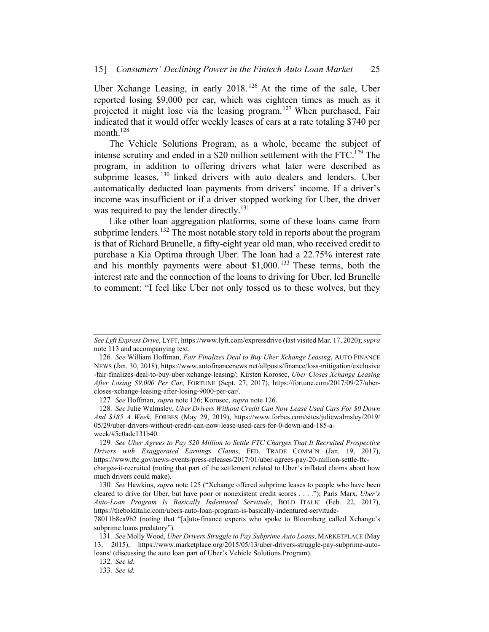Uber Xchange Leasing, in early 2018. <sup>126</sup> At the time of the sale, Uber reported losing \$9,000 per car, which was eighteen times as much as it projected it might lose via the leasing program.<sup>127</sup> When purchased, Fair indicated that it would offer weekly leases of cars at a rate totaling \$740 per month.<sup>128</sup>

The Vehicle Solutions Program, as a whole, became the subject of intense scrutiny and ended in a \$20 million settlement with the FTC.<sup>129</sup> The program, in addition to offering drivers what later were described as subprime leases, <sup>130</sup> linked drivers with auto dealers and lenders. Uber automatically deducted loan payments from drivers' income. If a driver's income was insufficient or if a driver stopped working for Uber, the driver was required to pay the lender directly.<sup>131</sup>

Like other loan aggregation platforms, some of these loans came from subprime lenders.<sup>132</sup> The most notable story told in reports about the program is that of Richard Brunelle, a fifty-eight year old man, who received credit to purchase a Kia Optima through Uber. The loan had a 22.75% interest rate and his monthly payments were about \$1,000. <sup>133</sup> These terms, both the interest rate and the connection of the loans to driving for Uber, led Brunelle to comment: "I feel like Uber not only tossed us to these wolves, but they

See Lyft Express Drive, LYFT, https://www.lyft.com/expressdrive (last visited Mar. 17, 2020); supra note 113 and accompanying text.

<sup>126.</sup> See William Hoffman, Fair Finalizes Deal to Buy Uber Xchange Leasing, AUTO FINANCE NEWS (Jan. 30, 2018), https://www.autofinancenews.net/allposts/finance/loss-mitigation/exclusive -fair-finalizes-deal-to-buy-uber-xchange-leasing/; Kirsten Korosec, Uber Closes Xchange Leasing After Losing \$9,000 Per Car, FORTUNE (Sept. 27, 2017), https://fortune.com/2017/09/27/ubercloses-xchange-leasing-after-losing-9000-per-car/.

<sup>127</sup>. See Hoffman, supra note 126; Korosec, supra note 126.

<sup>128</sup>. See Julie Walmsley, Uber Drivers Without Credit Can Now Lease Used Cars For \$0 Down And \$185 A Week, FORBES (May 29, 2019), https://www.forbes.com/sites/juliewalmsley/2019/ 05/29/uber-drivers-without-credit-can-now-lease-used-cars-for-0-down-and-185-aweek/#5c0adc131b40.

<sup>129</sup>. See Uber Agrees to Pay \$20 Million to Settle FTC Charges That It Recruited Prospective Drivers with Exaggerated Earnings Claims, FED. TRADE COMM'N (Jan. 19, 2017), https://www.ftc.gov/news-events/press-releases/2017/01/uber-agrees-pay-20-million-settle-ftccharges-it-recruited (noting that part of the settlement related to Uber's inflated claims about how much drivers could make).

<sup>130.</sup> See Hawkins, *supra* note 125 ("Xchange offered subprime leases to people who have been cleared to drive for Uber, but have poor or nonexistent credit scores . . . ."); Paris Marx, Uber's Auto-Loan Program Is Basically Indentured Servitude, BOLD ITALIC (Feb. 22, 2017), https://thebolditalic.com/ubers-auto-loan-program-is-basically-indentured-servitude-

<sup>78011</sup>b8ea9b2 (noting that "[a]uto-finance experts who spoke to Bloomberg called Xchange's subprime loans predatory").

<sup>131</sup>. See Molly Wood, Uber Drivers Struggle to Pay Subprime Auto Loans, MARKETPLACE (May 13, 2015), https://www.marketplace.org/2015/05/13/uber-drivers-struggle-pay-subprime-autoloans/ (discussing the auto loan part of Uber's Vehicle Solutions Program).

<sup>132</sup>. See id.

<sup>133</sup>. See id.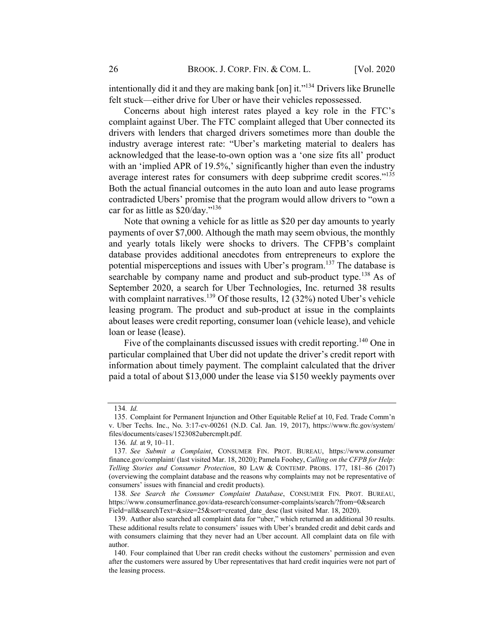intentionally did it and they are making bank [on] it."134 Drivers like Brunelle felt stuck—either drive for Uber or have their vehicles repossessed.

Concerns about high interest rates played a key role in the FTC's complaint against Uber. The FTC complaint alleged that Uber connected its drivers with lenders that charged drivers sometimes more than double the industry average interest rate: "Uber's marketing material to dealers has acknowledged that the lease-to-own option was a 'one size fits all' product with an 'implied APR of 19.5%,' significantly higher than even the industry average interest rates for consumers with deep subprime credit scores."<sup>135</sup> Both the actual financial outcomes in the auto loan and auto lease programs contradicted Ubers' promise that the program would allow drivers to "own a car for as little as \$20/day."<sup>136</sup>

Note that owning a vehicle for as little as \$20 per day amounts to yearly payments of over \$7,000. Although the math may seem obvious, the monthly and yearly totals likely were shocks to drivers. The CFPB's complaint database provides additional anecdotes from entrepreneurs to explore the potential misperceptions and issues with Uber's program.<sup>137</sup> The database is searchable by company name and product and sub-product type.<sup>138</sup> As of September 2020, a search for Uber Technologies, Inc. returned 38 results with complaint narratives.<sup>139</sup> Of those results,  $12$  (32%) noted Uber's vehicle leasing program. The product and sub-product at issue in the complaints about leases were credit reporting, consumer loan (vehicle lease), and vehicle loan or lease (lease).

Five of the complainants discussed issues with credit reporting.<sup>140</sup> One in particular complained that Uber did not update the driver's credit report with information about timely payment. The complaint calculated that the driver paid a total of about \$13,000 under the lease via \$150 weekly payments over

<sup>134</sup>. Id.

<sup>135.</sup> Complaint for Permanent Injunction and Other Equitable Relief at 10, Fed. Trade Comm'n v. Uber Techs. Inc., No. 3:17-cv-00261 (N.D. Cal. Jan. 19, 2017), https://www.ftc.gov/system/ files/documents/cases/1523082ubercmplt.pdf.

<sup>136</sup>. Id. at 9, 10–11.

<sup>137</sup>. See Submit a Complaint, CONSUMER FIN. PROT. BUREAU, https://www.consumer finance.gov/complaint/ (last visited Mar. 18, 2020); Pamela Foohey, Calling on the CFPB for Help: Telling Stories and Consumer Protection, 80 LAW & CONTEMP. PROBS. 177, 181–86 (2017) (overviewing the complaint database and the reasons why complaints may not be representative of consumers' issues with financial and credit products).

<sup>138.</sup> See Search the Consumer Complaint Database, CONSUMER FIN. PROT. BUREAU, https://www.consumerfinance.gov/data-research/consumer-complaints/search/?from=0&search Field=all&searchText=&size=25&sort=created\_date\_desc (last visited Mar. 18, 2020).

<sup>139.</sup> Author also searched all complaint data for "uber," which returned an additional 30 results. These additional results relate to consumers' issues with Uber's branded credit and debit cards and with consumers claiming that they never had an Uber account. All complaint data on file with author.

<sup>140.</sup> Four complained that Uber ran credit checks without the customers' permission and even after the customers were assured by Uber representatives that hard credit inquiries were not part of the leasing process.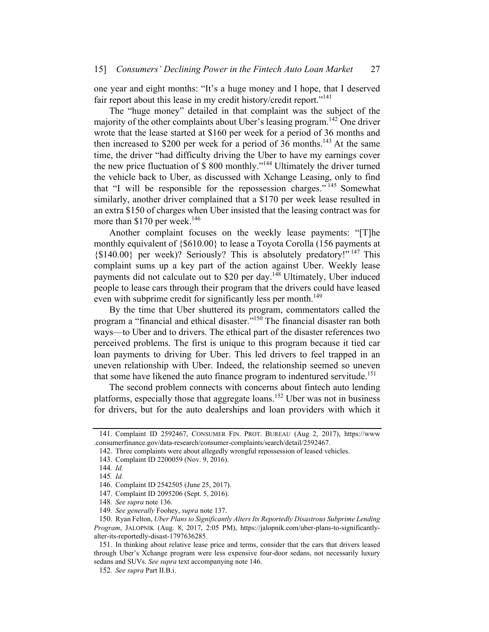one year and eight months: "It's a huge money and I hope, that I deserved fair report about this lease in my credit history/credit report."<sup>141</sup>

The "huge money" detailed in that complaint was the subject of the majority of the other complaints about Uber's leasing program.<sup>142</sup> One driver wrote that the lease started at \$160 per week for a period of 36 months and then increased to \$200 per week for a period of 36 months.<sup>143</sup> At the same time, the driver "had difficulty driving the Uber to have my earnings cover the new price fluctuation of \$ 800 monthly."<sup>144</sup> Ultimately the driver turned the vehicle back to Uber, as discussed with Xchange Leasing, only to find that "I will be responsible for the repossession charges." <sup>145</sup> Somewhat similarly, another driver complained that a \$170 per week lease resulted in an extra \$150 of charges when Uber insisted that the leasing contract was for more than  $$170$  per week.<sup>146</sup>

Another complaint focuses on the weekly lease payments: "[T]he monthly equivalent of {\$610.00} to lease a Toyota Corolla (156 payments at  ${\{ $140.00\} }$  per week)? Seriously? This is absolutely predatory!"<sup>147</sup> This complaint sums up a key part of the action against Uber. Weekly lease payments did not calculate out to \$20 per day.<sup>148</sup> Ultimately, Uber induced people to lease cars through their program that the drivers could have leased even with subprime credit for significantly less per month.<sup>149</sup>

By the time that Uber shuttered its program, commentators called the program a "financial and ethical disaster."<sup>150</sup> The financial disaster ran both ways—to Uber and to drivers. The ethical part of the disaster references two perceived problems. The first is unique to this program because it tied car loan payments to driving for Uber. This led drivers to feel trapped in an uneven relationship with Uber. Indeed, the relationship seemed so uneven that some have likened the auto finance program to indentured servitude.<sup>151</sup>

The second problem connects with concerns about fintech auto lending platforms, especially those that aggregate loans.<sup>152</sup> Uber was not in business for drivers, but for the auto dealerships and loan providers with which it

151. In thinking about relative lease price and terms, consider that the cars that drivers leased through Uber's Xchange program were less expensive four-door sedans, not necessarily luxury sedans and SUVs. See supra text accompanying note 146.

152. See supra Part II.B.i.

<sup>141.</sup> Complaint ID 2592467, CONSUMER FIN. PROT. BUREAU (Aug 2, 2017), https://www .consumerfinance.gov/data-research/consumer-complaints/search/detail/2592467.

<sup>142.</sup> Three complaints were about allegedly wrongful repossession of leased vehicles.

<sup>143.</sup> Complaint ID 2200059 (Nov. 9, 2016).

<sup>144</sup>. Id.

<sup>145</sup>. Id.

<sup>146.</sup> Complaint ID 2542505 (June 25, 2017).

<sup>147.</sup> Complaint ID 2095206 (Sept. 5, 2016).

<sup>148</sup>. See supra note 136.

<sup>149</sup>. See generally Foohey, supra note 137.

<sup>150.</sup> Ryan Felton, Uber Plans to Significantly Alters Its Reportedly Disastrous Subprime Lending Program, JALOPNIK (Aug. 8, 2017, 2:05 PM), https://jalopnik.com/uber-plans-to-significantlyalter-its-reportedly-disast-1797636285.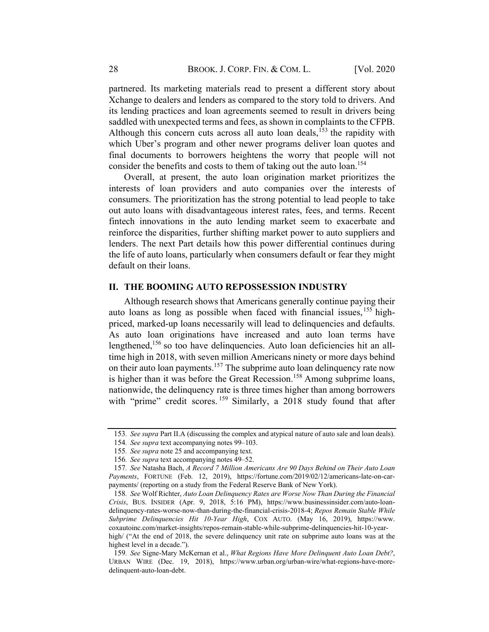partnered. Its marketing materials read to present a different story about Xchange to dealers and lenders as compared to the story told to drivers. And its lending practices and loan agreements seemed to result in drivers being saddled with unexpected terms and fees, as shown in complaints to the CFPB. Although this concern cuts across all auto loan deals,  $153$  the rapidity with which Uber's program and other newer programs deliver loan quotes and final documents to borrowers heightens the worry that people will not consider the benefits and costs to them of taking out the auto loan.<sup>154</sup>

Overall, at present, the auto loan origination market prioritizes the interests of loan providers and auto companies over the interests of consumers. The prioritization has the strong potential to lead people to take out auto loans with disadvantageous interest rates, fees, and terms. Recent fintech innovations in the auto lending market seem to exacerbate and reinforce the disparities, further shifting market power to auto suppliers and lenders. The next Part details how this power differential continues during the life of auto loans, particularly when consumers default or fear they might default on their loans.

## II. THE BOOMING AUTO REPOSSESSION INDUSTRY

Although research shows that Americans generally continue paying their auto loans as long as possible when faced with financial issues, <sup>155</sup> highpriced, marked-up loans necessarily will lead to delinquencies and defaults. As auto loan originations have increased and auto loan terms have lengthened,<sup>156</sup> so too have delinquencies. Auto loan deficiencies hit an alltime high in 2018, with seven million Americans ninety or more days behind on their auto loan payments.<sup>157</sup> The subprime auto loan delinquency rate now is higher than it was before the Great Recession.<sup>158</sup> Among subprime loans, nationwide, the delinquency rate is three times higher than among borrowers with "prime" credit scores. <sup>159</sup> Similarly, a 2018 study found that after

<sup>153</sup>. See supra Part II.A (discussing the complex and atypical nature of auto sale and loan deals).

<sup>154</sup>. See supra text accompanying notes 99–103.

<sup>155</sup>. See supra note 25 and accompanying text.

<sup>156</sup>. See supra text accompanying notes 49–52.

<sup>157</sup>. See Natasha Bach, A Record 7 Million Americans Are 90 Days Behind on Their Auto Loan Payments, FORTUNE (Feb. 12, 2019), https://fortune.com/2019/02/12/americans-late-on-carpayments/ (reporting on a study from the Federal Reserve Bank of New York).

<sup>158</sup>. See Wolf Richter, Auto Loan Delinquency Rates are Worse Now Than During the Financial Crisis, BUS. INSIDER (Apr. 9, 2018, 5:16 PM), https://www.businessinsider.com/auto-loandelinquency-rates-worse-now-than-during-the-financial-crisis-2018-4; Repos Remain Stable While Subprime Delinquencies Hit 10-Year High, COX AUTO. (May 16, 2019), https://www. coxautoinc.com/market-insights/repos-remain-stable-while-subprime-delinquencies-hit-10-yearhigh/ ("At the end of 2018, the severe delinquency unit rate on subprime auto loans was at the highest level in a decade.").

<sup>159</sup>. See Signe-Mary McKernan et al., What Regions Have More Delinquent Auto Loan Debt?, URBAN WIRE (Dec. 19, 2018), https://www.urban.org/urban-wire/what-regions-have-moredelinquent-auto-loan-debt.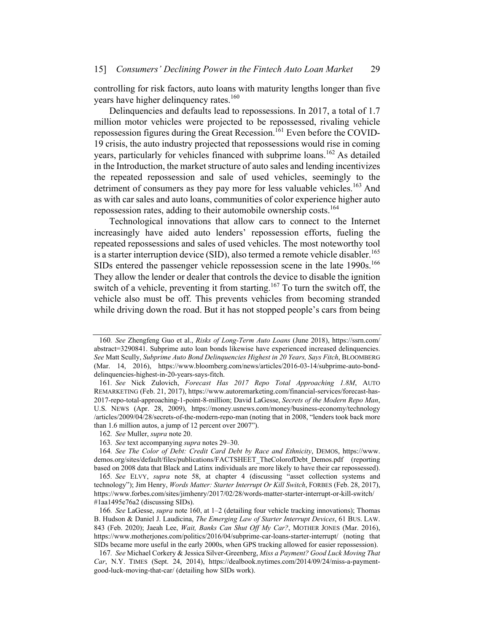controlling for risk factors, auto loans with maturity lengths longer than five years have higher delinquency rates.<sup>160</sup>

Delinquencies and defaults lead to repossessions. In 2017, a total of 1.7 million motor vehicles were projected to be repossessed, rivaling vehicle repossession figures during the Great Recession.<sup>161</sup> Even before the COVID-19 crisis, the auto industry projected that repossessions would rise in coming years, particularly for vehicles financed with subprime loans.<sup>162</sup> As detailed in the Introduction, the market structure of auto sales and lending incentivizes the repeated repossession and sale of used vehicles, seemingly to the detriment of consumers as they pay more for less valuable vehicles.<sup>163</sup> And as with car sales and auto loans, communities of color experience higher auto repossession rates, adding to their automobile ownership costs.<sup>164</sup>

Technological innovations that allow cars to connect to the Internet increasingly have aided auto lenders' repossession efforts, fueling the repeated repossessions and sales of used vehicles. The most noteworthy tool is a starter interruption device (SID), also termed a remote vehicle disabler.<sup>165</sup> SIDs entered the passenger vehicle repossession scene in the late 1990s.<sup>166</sup> They allow the lender or dealer that controls the device to disable the ignition switch of a vehicle, preventing it from starting.<sup>167</sup> To turn the switch off, the vehicle also must be off. This prevents vehicles from becoming stranded while driving down the road. But it has not stopped people's cars from being

<sup>160</sup>. See Zhengfeng Guo et al., Risks of Long-Term Auto Loans (June 2018), https://ssrn.com/ abstract=3290841. Subprime auto loan bonds likewise have experienced increased delinquencies. See Matt Scully, Subprime Auto Bond Delinquencies Highest in 20 Years, Says Fitch, BLOOMBERG (Mar. 14, 2016), https://www.bloomberg.com/news/articles/2016-03-14/subprime-auto-bonddelinquencies-highest-in-20-years-says-fitch.

<sup>161</sup>. See Nick Zulovich, Forecast Has 2017 Repo Total Approaching 1.8M, AUTO REMARKETING (Feb. 21, 2017), https://www.autoremarketing.com/financial-services/forecast-has-2017-repo-total-approaching-1-point-8-million; David LaGesse, Secrets of the Modern Repo Man, U.S. NEWS (Apr. 28, 2009), https://money.usnews.com/money/business-economy/technology /articles/2009/04/28/secrets-of-the-modern-repo-man (noting that in 2008, "lenders took back more than 1.6 million autos, a jump of 12 percent over 2007").

<sup>162</sup>. See Muller, supra note 20.

<sup>163</sup>. See text accompanying supra notes 29–30.

<sup>164</sup>. See The Color of Debt: Credit Card Debt by Race and Ethnicity, DEMOS, https://www. demos.org/sites/default/files/publications/FACTSHEET\_TheColorofDebt\_Demos.pdf (reporting based on 2008 data that Black and Latinx individuals are more likely to have their car repossessed).

<sup>165</sup>. See ELVY, supra note 58, at chapter 4 (discussing "asset collection systems and technology"); Jim Henry, Words Matter: Starter Interrupt Or Kill Switch, FORBES (Feb. 28, 2017), https://www.forbes.com/sites/jimhenry/2017/02/28/words-matter-starter-interrupt-or-kill-switch/ #1aa1495e76a2 (discussing SIDs).

<sup>166</sup>. See LaGesse, supra note 160, at 1–2 (detailing four vehicle tracking innovations); Thomas B. Hudson & Daniel J. Laudicina, The Emerging Law of Starter Interrupt Devices, 61 BUS. LAW. 843 (Feb. 2020); Jaeah Lee, Wait, Banks Can Shut Off My Car?, MOTHER JONES (Mar. 2016), https://www.motherjones.com/politics/2016/04/subprime-car-loans-starter-interrupt/ (noting that SIDs became more useful in the early 2000s, when GPS tracking allowed for easier repossession).

<sup>167</sup>. See Michael Corkery & Jessica Silver-Greenberg, Miss a Payment? Good Luck Moving That Car, N.Y. TIMES (Sept. 24, 2014), https://dealbook.nytimes.com/2014/09/24/miss-a-paymentgood-luck-moving-that-car/ (detailing how SIDs work).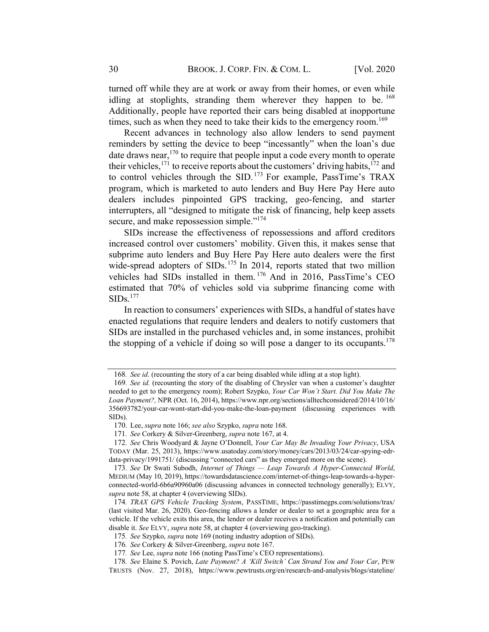turned off while they are at work or away from their homes, or even while idling at stoplights, stranding them wherever they happen to be.  $^{168}$ Additionally, people have reported their cars being disabled at inopportune times, such as when they need to take their kids to the emergency room.<sup>169</sup>

Recent advances in technology also allow lenders to send payment reminders by setting the device to beep "incessantly" when the loan's due date draws near,<sup>170</sup> to require that people input a code every month to operate their vehicles,<sup>171</sup> to receive reports about the customers' driving habits,<sup>172</sup> and to control vehicles through the SID.<sup>173</sup> For example, PassTime's TRAX program, which is marketed to auto lenders and Buy Here Pay Here auto dealers includes pinpointed GPS tracking, geo-fencing, and starter interrupters, all "designed to mitigate the risk of financing, help keep assets secure, and make repossession simple."<sup>174</sup>

SIDs increase the effectiveness of repossessions and afford creditors increased control over customers' mobility. Given this, it makes sense that subprime auto lenders and Buy Here Pay Here auto dealers were the first wide-spread adopters of SIDs.<sup>175</sup> In 2014, reports stated that two million vehicles had SIDs installed in them. <sup>176</sup> And in 2016, PassTime's CEO estimated that 70% of vehicles sold via subprime financing come with  $\text{SIDs.}^{177}$ 

In reaction to consumers' experiences with SIDs, a handful of states have enacted regulations that require lenders and dealers to notify customers that SIDs are installed in the purchased vehicles and, in some instances, prohibit the stopping of a vehicle if doing so will pose a danger to its occupants.<sup>178</sup>

<sup>168</sup>. See id. (recounting the story of a car being disabled while idling at a stop light).

<sup>169</sup>. See id. (recounting the story of the disabling of Chrysler van when a customer's daughter needed to get to the emergency room); Robert Szypko, Your Car Won't Start. Did You Make The Loan Payment?, NPR (Oct. 16, 2014), https://www.npr.org/sections/alltechconsidered/2014/10/16/ 356693782/your-car-wont-start-did-you-make-the-loan-payment (discussing experiences with SIDs).

<sup>170.</sup> Lee, supra note 166; see also Szypko, supra note 168.

<sup>171</sup>. See Corkery & Silver-Greenberg, supra note 167, at 4.

<sup>172</sup>. See Chris Woodyard & Jayne O'Donnell, Your Car May Be Invading Your Privacy, USA TODAY (Mar. 25, 2013), https://www.usatoday.com/story/money/cars/2013/03/24/car-spying-edrdata-privacy/1991751/ (discussing "connected cars" as they emerged more on the scene).

<sup>173</sup>. See Dr Swati Subodh, Internet of Things — Leap Towards A Hyper-Connected World, MEDIUM (May 10, 2019), https://towardsdatascience.com/internet-of-things-leap-towards-a-hyperconnected-world-6b6a90960a06 (discussing advances in connected technology generally); ELVY, supra note 58, at chapter 4 (overviewing SIDs).

<sup>174</sup>. TRAX GPS Vehicle Tracking System, PASSTIME, https://passtimegps.com/solutions/trax/ (last visited Mar. 26, 2020). Geo-fencing allows a lender or dealer to set a geographic area for a vehicle. If the vehicle exits this area, the lender or dealer receives a notification and potentially can disable it. See ELVY, *supra* note 58, at chapter 4 (overviewing geo-tracking).

<sup>175</sup>. See Szypko, supra note 169 (noting industry adoption of SIDs).

<sup>176</sup>. See Corkery & Silver-Greenberg, supra note 167.

<sup>177.</sup> See Lee, supra note 166 (noting PassTime's CEO representations).

<sup>178</sup>. See Elaine S. Povich, Late Payment? A 'Kill Switch' Can Strand You and Your Car, PEW TRUSTS (Nov. 27, 2018), https://www.pewtrusts.org/en/research-and-analysis/blogs/stateline/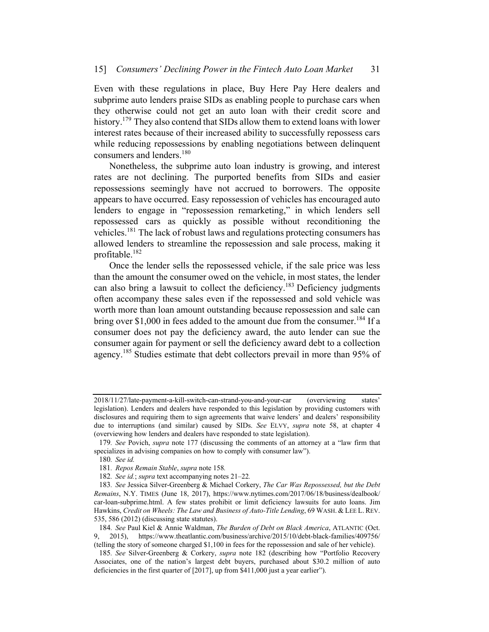Even with these regulations in place, Buy Here Pay Here dealers and subprime auto lenders praise SIDs as enabling people to purchase cars when they otherwise could not get an auto loan with their credit score and history.<sup>179</sup> They also contend that SIDs allow them to extend loans with lower interest rates because of their increased ability to successfully repossess cars while reducing repossessions by enabling negotiations between delinquent consumers and lenders.<sup>180</sup>

Nonetheless, the subprime auto loan industry is growing, and interest rates are not declining. The purported benefits from SIDs and easier repossessions seemingly have not accrued to borrowers. The opposite appears to have occurred. Easy repossession of vehicles has encouraged auto lenders to engage in "repossession remarketing," in which lenders sell repossessed cars as quickly as possible without reconditioning the vehicles.<sup>181</sup> The lack of robust laws and regulations protecting consumers has allowed lenders to streamline the repossession and sale process, making it profitable.182

Once the lender sells the repossessed vehicle, if the sale price was less than the amount the consumer owed on the vehicle, in most states, the lender can also bring a lawsuit to collect the deficiency.<sup>183</sup> Deficiency judgments often accompany these sales even if the repossessed and sold vehicle was worth more than loan amount outstanding because repossession and sale can bring over \$1,000 in fees added to the amount due from the consumer.<sup>184</sup> If a consumer does not pay the deficiency award, the auto lender can sue the consumer again for payment or sell the deficiency award debt to a collection agency.<sup>185</sup> Studies estimate that debt collectors prevail in more than 95% of

<sup>2018/11/27/</sup>late-payment-a-kill-switch-can-strand-you-and-your-car (overviewing states' legislation). Lenders and dealers have responded to this legislation by providing customers with disclosures and requiring them to sign agreements that waive lenders' and dealers' responsibility due to interruptions (and similar) caused by SIDs. See ELVY, *supra* note 58, at chapter 4 (overviewing how lenders and dealers have responded to state legislation).

<sup>179.</sup> See Povich, *supra* note 177 (discussing the comments of an attorney at a "law firm that specializes in advising companies on how to comply with consumer law").

<sup>180</sup>. See id.

<sup>181</sup>. Repos Remain Stable, supra note 158.

<sup>182.</sup> See id.; supra text accompanying notes 21–22.

<sup>183.</sup> See Jessica Silver-Greenberg & Michael Corkery, The Car Was Repossessed, but the Debt Remains, N.Y. TIMES (June 18, 2017), https://www.nytimes.com/2017/06/18/business/dealbook/ car-loan-subprime.html. A few states prohibit or limit deficiency lawsuits for auto loans. Jim Hawkins, Credit on Wheels: The Law and Business of Auto-Title Lending, 69 WASH. & LEE L. REV. 535, 586 (2012) (discussing state statutes).

<sup>184.</sup> See Paul Kiel & Annie Waldman, The Burden of Debt on Black America, ATLANTIC (Oct. 9, 2015), https://www.theatlantic.com/business/archive/2015/10/debt-black-families/409756/ (telling the story of someone charged \$1,100 in fees for the repossession and sale of her vehicle).

<sup>185.</sup> See Silver-Greenberg & Corkery, *supra* note 182 (describing how "Portfolio Recovery Associates, one of the nation's largest debt buyers, purchased about \$30.2 million of auto deficiencies in the first quarter of [2017], up from \$411,000 just a year earlier").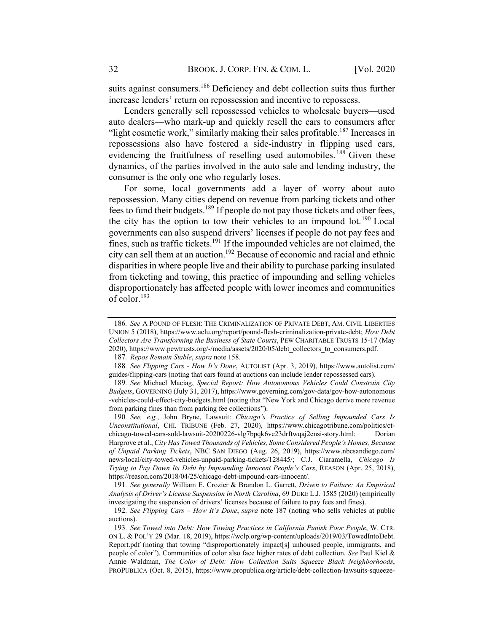suits against consumers.<sup>186</sup> Deficiency and debt collection suits thus further increase lenders' return on repossession and incentive to repossess.

Lenders generally sell repossessed vehicles to wholesale buyers—used auto dealers—who mark-up and quickly resell the cars to consumers after "light cosmetic work," similarly making their sales profitable.<sup>187</sup> Increases in repossessions also have fostered a side-industry in flipping used cars, evidencing the fruitfulness of reselling used automobiles.<sup>188</sup> Given these dynamics, of the parties involved in the auto sale and lending industry, the consumer is the only one who regularly loses.

For some, local governments add a layer of worry about auto repossession. Many cities depend on revenue from parking tickets and other fees to fund their budgets.<sup>189</sup> If people do not pay those tickets and other fees, the city has the option to tow their vehicles to an impound lot.<sup>190</sup> Local governments can also suspend drivers' licenses if people do not pay fees and fines, such as traffic tickets.<sup>191</sup> If the impounded vehicles are not claimed, the city can sell them at an auction.<sup>192</sup> Because of economic and racial and ethnic disparities in where people live and their ability to purchase parking insulated from ticketing and towing, this practice of impounding and selling vehicles disproportionately has affected people with lower incomes and communities of color.<sup>193</sup>

190. See, e.g., John Bryne, Lawsuit: Chicago's Practice of Selling Impounded Cars Is Unconstitutional, CHI. TRIBUNE (Feb. 27, 2020), https://www.chicagotribune.com/politics/ctchicago-towed-cars-sold-lawsuit-20200226-vlg7bpqk6ve23drftwqaj2ensi-story.html; Dorian Hargrove et al., City Has Towed Thousands of Vehicles, Some Considered People's Homes, Because of Unpaid Parking Tickets, NBC SAN DIEGO (Aug. 26, 2019), https://www.nbcsandiego.com/ news/local/city-towed-vehicles-unpaid-parking-tickets/128445/; C.J. Ciaramella, Chicago Is Trying to Pay Down Its Debt by Impounding Innocent People's Cars, REASON (Apr. 25, 2018), https://reason.com/2018/04/25/chicago-debt-impound-cars-innocent/.

191. See generally William E. Crozier & Brandon L. Garrett, Driven to Failure: An Empirical Analysis of Driver's License Suspension in North Carolina, 69 DUKE L.J. 1585 (2020) (empirically investigating the suspension of drivers' licenses because of failure to pay fees and fines).

<sup>186</sup>. See A POUND OF FLESH: THE CRIMINALIZATION OF PRIVATE DEBT, AM. CIVIL LIBERTIES UNION 5 (2018), https://www.aclu.org/report/pound-flesh-criminalization-private-debt; How Debt Collectors Are Transforming the Business of State Courts, PEW CHARITABLE TRUSTS 15-17 (May 2020), https://www.pewtrusts.org/-/media/assets/2020/05/debt\_collectors\_to\_consumers.pdf.

<sup>187</sup>. Repos Remain Stable, supra note 158.

<sup>188</sup>. See Flipping Cars - How It's Done, AUTOLIST (Apr. 3, 2019), https://www.autolist.com/ guides/flipping-cars (noting that cars found at auctions can include lender repossessed cars).

<sup>189</sup>. See Michael Maciag, Special Report: How Autonomous Vehicles Could Constrain City Budgets, GOVERNING (July 31, 2017), https://www.governing.com/gov-data/gov-how-autonomous -vehicles-could-effect-city-budgets.html (noting that "New York and Chicago derive more revenue from parking fines than from parking fee collections").

<sup>192</sup>. See Flipping Cars – How It's Done, supra note 187 (noting who sells vehicles at public auctions).

<sup>193</sup>. See Towed into Debt: How Towing Practices in California Punish Poor People, W. CTR. ON L. & POL'Y 29 (Mar. 18, 2019), https://wclp.org/wp-content/uploads/2019/03/TowedIntoDebt. Report.pdf (noting that towing "disproportionately impact[s] unhoused people, immigrants, and people of color"). Communities of color also face higher rates of debt collection. See Paul Kiel & Annie Waldman, The Color of Debt: How Collection Suits Squeeze Black Neighborhoods, PROPUBLICA (Oct. 8, 2015), https://www.propublica.org/article/debt-collection-lawsuits-squeeze-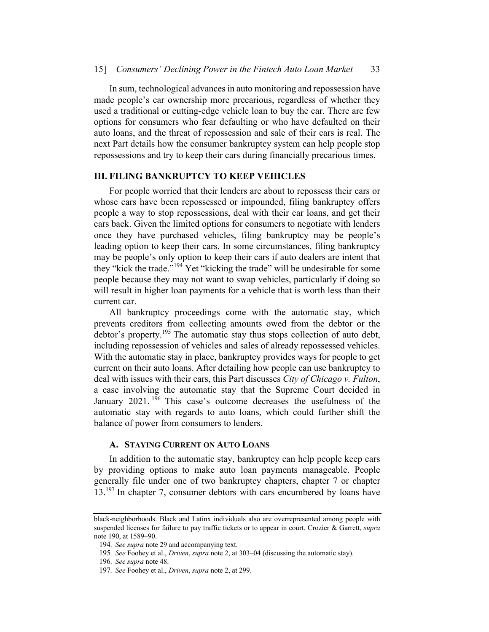In sum, technological advances in auto monitoring and repossession have made people's car ownership more precarious, regardless of whether they used a traditional or cutting-edge vehicle loan to buy the car. There are few options for consumers who fear defaulting or who have defaulted on their auto loans, and the threat of repossession and sale of their cars is real. The next Part details how the consumer bankruptcy system can help people stop repossessions and try to keep their cars during financially precarious times.

## **III. FILING BANKRUPTCY TO KEEP VEHICLES**

For people worried that their lenders are about to repossess their cars or whose cars have been repossessed or impounded, filing bankruptcy offers people a way to stop repossessions, deal with their car loans, and get their cars back. Given the limited options for consumers to negotiate with lenders once they have purchased vehicles, filing bankruptcy may be people's leading option to keep their cars. In some circumstances, filing bankruptcy may be people's only option to keep their cars if auto dealers are intent that they "kick the trade."194 Yet "kicking the trade" will be undesirable for some people because they may not want to swap vehicles, particularly if doing so will result in higher loan payments for a vehicle that is worth less than their current car.

All bankruptcy proceedings come with the automatic stay, which prevents creditors from collecting amounts owed from the debtor or the debtor's property.<sup>195</sup> The automatic stay thus stops collection of auto debt, including repossession of vehicles and sales of already repossessed vehicles. With the automatic stay in place, bankruptcy provides ways for people to get current on their auto loans. After detailing how people can use bankruptcy to deal with issues with their cars, this Part discusses *City of Chicago v. Fulton*, a case involving the automatic stay that the Supreme Court decided in January  $2021$ . <sup>196</sup> This case's outcome decreases the usefulness of the automatic stay with regards to auto loans, which could further shift the balance of power from consumers to lenders.

#### A. STAYING CURRENT ON AUTO LOANS

In addition to the automatic stay, bankruptcy can help people keep cars by providing options to make auto loan payments manageable. People generally file under one of two bankruptcy chapters, chapter 7 or chapter 13.<sup>197</sup> In chapter 7, consumer debtors with cars encumbered by loans have

black-neighborhoods. Black and Latinx individuals also are overrepresented among people with suspended licenses for failure to pay traffic tickets or to appear in court. Crozier & Garrett, supra note 190, at 1589–90.

<sup>194.</sup> See supra note 29 and accompanying text.

<sup>195</sup>. See Foohey et al., Driven, supra note 2, at 303–04 (discussing the automatic stay).

<sup>196</sup>. See supra note 48.

<sup>197</sup>. See Foohey et al., Driven, supra note 2, at 299.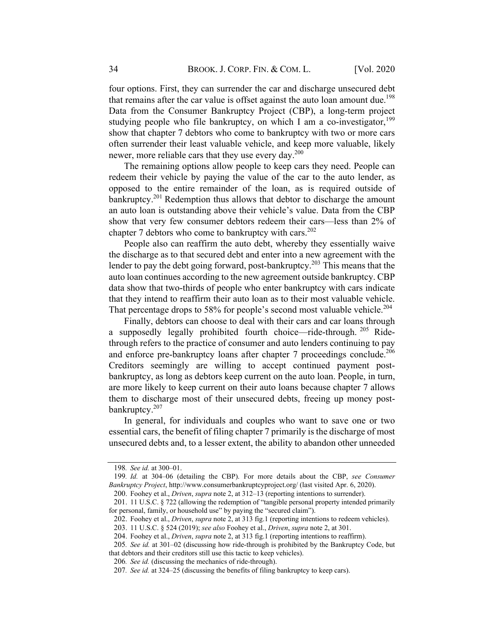four options. First, they can surrender the car and discharge unsecured debt that remains after the car value is offset against the auto loan amount due.<sup>198</sup> Data from the Consumer Bankruptcy Project (CBP), a long-term project studying people who file bankruptcy, on which I am a co-investigator,  $199$ show that chapter 7 debtors who come to bankruptcy with two or more cars often surrender their least valuable vehicle, and keep more valuable, likely newer, more reliable cars that they use every day.<sup>200</sup>

The remaining options allow people to keep cars they need. People can redeem their vehicle by paying the value of the car to the auto lender, as opposed to the entire remainder of the loan, as is required outside of bankruptcy.201 Redemption thus allows that debtor to discharge the amount an auto loan is outstanding above their vehicle's value. Data from the CBP show that very few consumer debtors redeem their cars—less than 2% of chapter 7 debtors who come to bankruptcy with cars.<sup>202</sup>

People also can reaffirm the auto debt, whereby they essentially waive the discharge as to that secured debt and enter into a new agreement with the lender to pay the debt going forward, post-bankruptcy.<sup>203</sup> This means that the auto loan continues according to the new agreement outside bankruptcy. CBP data show that two-thirds of people who enter bankruptcy with cars indicate that they intend to reaffirm their auto loan as to their most valuable vehicle. That percentage drops to 58% for people's second most valuable vehicle.<sup>204</sup>

Finally, debtors can choose to deal with their cars and car loans through a supposedly legally prohibited fourth choice—ride-through. <sup>205</sup> Ridethrough refers to the practice of consumer and auto lenders continuing to pay and enforce pre-bankruptcy loans after chapter 7 proceedings conclude.<sup>206</sup> Creditors seemingly are willing to accept continued payment postbankruptcy, as long as debtors keep current on the auto loan. People, in turn, are more likely to keep current on their auto loans because chapter 7 allows them to discharge most of their unsecured debts, freeing up money postbankruptcy.<sup>207</sup>

In general, for individuals and couples who want to save one or two essential cars, the benefit of filing chapter 7 primarily is the discharge of most unsecured debts and, to a lesser extent, the ability to abandon other unneeded

<sup>198</sup>. See id. at 300–01.

<sup>199</sup>. Id. at 304–06 (detailing the CBP). For more details about the CBP, see Consumer Bankruptcy Project, http://www.consumerbankruptcyproject.org/ (last visited Apr. 6, 2020).

<sup>200.</sup> Foohey et al., Driven, supra note 2, at 312-13 (reporting intentions to surrender).

<sup>201.</sup> 11 U.S.C. § 722 (allowing the redemption of "tangible personal property intended primarily for personal, family, or household use" by paying the "secured claim").

<sup>202.</sup> Foohey et al., Driven, supra note 2, at 313 fig.1 (reporting intentions to redeem vehicles).

<sup>203. 11</sup> U.S.C. § 524 (2019); see also Foohey et al., *Driven*, supra note 2, at 301.

<sup>204.</sup> Foohey et al., Driven, supra note 2, at 313 fig.1 (reporting intentions to reaffirm).

<sup>205.</sup> See id. at 301-02 (discussing how ride-through is prohibited by the Bankruptcy Code, but that debtors and their creditors still use this tactic to keep vehicles).

<sup>206.</sup> See id. (discussing the mechanics of ride-through).

<sup>207</sup>. See id. at 324–25 (discussing the benefits of filing bankruptcy to keep cars).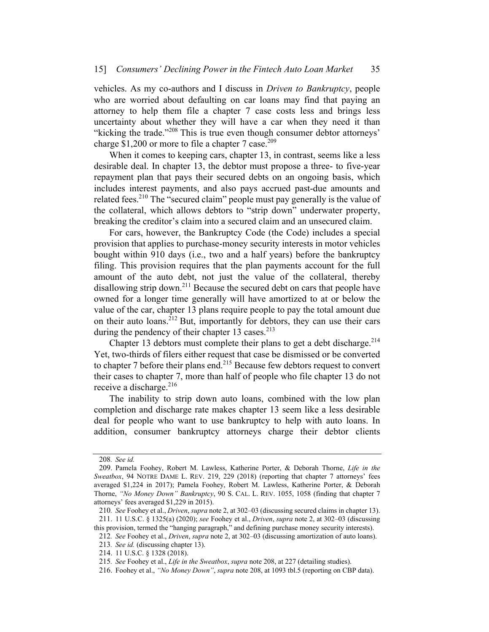vehicles. As my co-authors and I discuss in Driven to Bankruptcy, people who are worried about defaulting on car loans may find that paying an attorney to help them file a chapter 7 case costs less and brings less uncertainty about whether they will have a car when they need it than "kicking the trade."<sup>208</sup> This is true even though consumer debtor attorneys' charge \$1,200 or more to file a chapter 7 case.<sup>209</sup>

When it comes to keeping cars, chapter 13, in contrast, seems like a less desirable deal. In chapter 13, the debtor must propose a three- to five-year repayment plan that pays their secured debts on an ongoing basis, which includes interest payments, and also pays accrued past-due amounts and related fees.<sup>210</sup> The "secured claim" people must pay generally is the value of the collateral, which allows debtors to "strip down" underwater property, breaking the creditor's claim into a secured claim and an unsecured claim.

For cars, however, the Bankruptcy Code (the Code) includes a special provision that applies to purchase-money security interests in motor vehicles bought within 910 days (i.e., two and a half years) before the bankruptcy filing. This provision requires that the plan payments account for the full amount of the auto debt, not just the value of the collateral, thereby disallowing strip down.<sup>211</sup> Because the secured debt on cars that people have owned for a longer time generally will have amortized to at or below the value of the car, chapter 13 plans require people to pay the total amount due on their auto loans.<sup>212</sup> But, importantly for debtors, they can use their cars during the pendency of their chapter  $13 \text{ cases.}^{213}$ 

Chapter 13 debtors must complete their plans to get a debt discharge. $2^{14}$ Yet, two-thirds of filers either request that case be dismissed or be converted to chapter 7 before their plans end.<sup>215</sup> Because few debtors request to convert their cases to chapter 7, more than half of people who file chapter 13 do not receive a discharge.<sup>216</sup>

The inability to strip down auto loans, combined with the low plan completion and discharge rate makes chapter 13 seem like a less desirable deal for people who want to use bankruptcy to help with auto loans. In addition, consumer bankruptcy attorneys charge their debtor clients

<sup>208</sup>. See id.

<sup>209.</sup> Pamela Foohey, Robert M. Lawless, Katherine Porter, & Deborah Thorne, Life in the Sweatbox, 94 NOTRE DAME L. REV. 219, 229 (2018) (reporting that chapter 7 attorneys' fees averaged \$1,224 in 2017); Pamela Foohey, Robert M. Lawless, Katherine Porter, & Deborah Thorne, "No Money Down" Bankruptcy, 90 S. CAL. L. REV. 1055, 1058 (finding that chapter 7 attorneys' fees averaged \$1,229 in 2015).

<sup>210</sup>. See Foohey et al., Driven, supra note 2, at 302–03 (discussing secured claims in chapter 13). 211. 11 U.S.C. § 1325(a) (2020); see Foohey et al., Driven, supra note 2, at 302–03 (discussing

this provision, termed the "hanging paragraph," and defining purchase money security interests).

<sup>212</sup>. See Foohey et al., Driven, supra note 2, at 302–03 (discussing amortization of auto loans).

<sup>213</sup>. See id. (discussing chapter 13).

<sup>214.</sup> 11 U.S.C. § 1328 (2018).

<sup>215</sup>. See Foohey et al., Life in the Sweatbox, supra note 208, at 227 (detailing studies).

<sup>216.</sup> Foohey et al., "No Money Down", supra note 208, at 1093 tbl.5 (reporting on CBP data).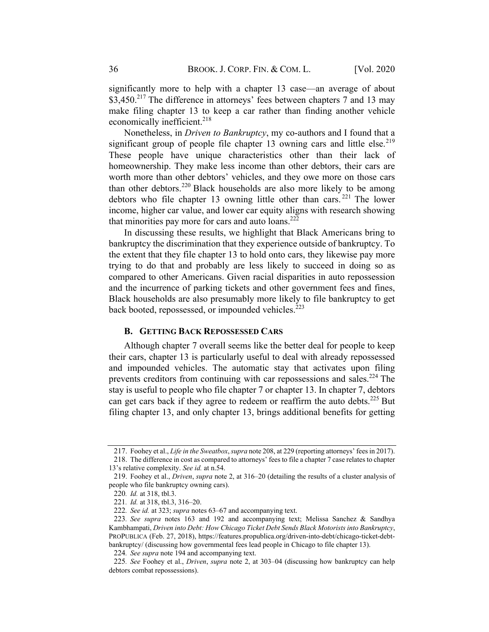significantly more to help with a chapter 13 case—an average of about \$3,450.<sup>217</sup> The difference in attorneys' fees between chapters 7 and 13 may make filing chapter 13 to keep a car rather than finding another vehicle economically inefficient.<sup>218</sup>

Nonetheless, in Driven to Bankruptcy, my co-authors and I found that a significant group of people file chapter 13 owning cars and little else.<sup>219</sup> These people have unique characteristics other than their lack of homeownership. They make less income than other debtors, their cars are worth more than other debtors' vehicles, and they owe more on those cars than other debtors.<sup>220</sup> Black households are also more likely to be among debtors who file chapter 13 owning little other than cars.<sup>221</sup> The lower income, higher car value, and lower car equity aligns with research showing that minorities pay more for cars and auto loans.<sup>222</sup>

In discussing these results, we highlight that Black Americans bring to bankruptcy the discrimination that they experience outside of bankruptcy. To the extent that they file chapter 13 to hold onto cars, they likewise pay more trying to do that and probably are less likely to succeed in doing so as compared to other Americans. Given racial disparities in auto repossession and the incurrence of parking tickets and other government fees and fines, Black households are also presumably more likely to file bankruptcy to get back booted, repossessed, or impounded vehicles.<sup>223</sup>

#### **B. GETTING BACK REPOSSESSED CARS**

Although chapter 7 overall seems like the better deal for people to keep their cars, chapter 13 is particularly useful to deal with already repossessed and impounded vehicles. The automatic stay that activates upon filing prevents creditors from continuing with car repossessions and sales.<sup>224</sup> The stay is useful to people who file chapter 7 or chapter 13. In chapter 7, debtors can get cars back if they agree to redeem or reaffirm the auto debts.<sup>225</sup> But filing chapter 13, and only chapter 13, brings additional benefits for getting

<sup>217.</sup> Foohey et al., Life in the Sweatbox, supra note 208, at 229 (reporting attorneys' fees in 2017).

<sup>218.</sup> The difference in cost as compared to attorneys' feesto file a chapter 7 case relates to chapter 13's relative complexity. See id. at n.54.

<sup>219.</sup> Foohey et al., Driven, supra note 2, at 316–20 (detailing the results of a cluster analysis of people who file bankruptcy owning cars).

<sup>220</sup>. Id. at 318, tbl.3.

<sup>221</sup>. Id. at 318, tbl.3, 316–20.

<sup>222</sup>. See id. at 323; supra notes 63–67 and accompanying text.

<sup>223</sup>. See supra notes 163 and 192 and accompanying text; Melissa Sanchez & Sandhya Kambhampati, Driven into Debt: How Chicago Ticket Debt Sends Black Motorists into Bankruptcy, PROPUBLICA (Feb. 27, 2018), https://features.propublica.org/driven-into-debt/chicago-ticket-debtbankruptcy/ (discussing how governmental fees lead people in Chicago to file chapter 13).

<sup>224</sup>. See supra note 194 and accompanying text.

<sup>225.</sup> See Foohey et al., Driven, supra note 2, at 303-04 (discussing how bankruptcy can help debtors combat repossessions).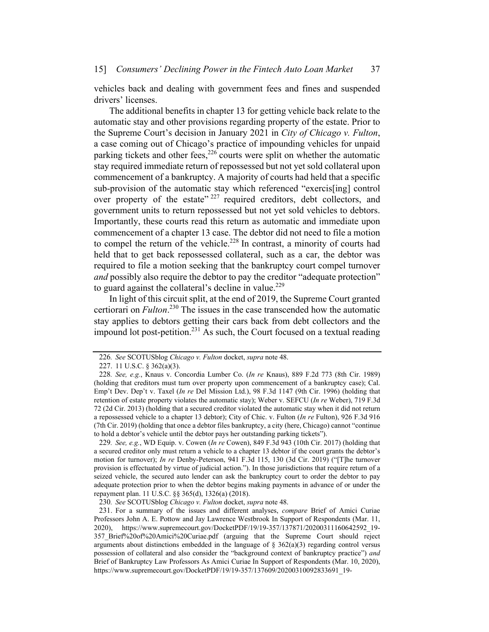vehicles back and dealing with government fees and fines and suspended drivers' licenses.

The additional benefits in chapter 13 for getting vehicle back relate to the automatic stay and other provisions regarding property of the estate. Prior to the Supreme Court's decision in January 2021 in City of Chicago v. Fulton, a case coming out of Chicago's practice of impounding vehicles for unpaid parking tickets and other fees,  $226$  courts were split on whether the automatic stay required immediate return of repossessed but not yet sold collateral upon commencement of a bankruptcy. A majority of courts had held that a specific sub-provision of the automatic stay which referenced "exercis[ing] control over property of the estate"  $227$  required creditors, debt collectors, and government units to return repossessed but not yet sold vehicles to debtors. Importantly, these courts read this return as automatic and immediate upon commencement of a chapter 13 case. The debtor did not need to file a motion to compel the return of the vehicle.<sup>228</sup> In contrast, a minority of courts had held that to get back repossessed collateral, such as a car, the debtor was required to file a motion seeking that the bankruptcy court compel turnover and possibly also require the debtor to pay the creditor "adequate protection" to guard against the collateral's decline in value.<sup>229</sup>

In light of this circuit split, at the end of 2019, the Supreme Court granted certiorari on *Fulton*<sup>230</sup> The issues in the case transcended how the automatic stay applies to debtors getting their cars back from debt collectors and the impound lot post-petition.<sup>231</sup> As such, the Court focused on a textual reading

<sup>226.</sup> See SCOTUSblog Chicago v. Fulton docket, supra note 48.

<sup>227.</sup> 11 U.S.C. § 362(a)(3).

<sup>228</sup>. See, e.g., Knaus v. Concordia Lumber Co. (In re Knaus), 889 F.2d 773 (8th Cir. 1989) (holding that creditors must turn over property upon commencement of a bankruptcy case); Cal. Emp't Dev. Dep't v. Taxel (In re Del Mission Ltd.), 98 F.3d 1147 (9th Cir. 1996) (holding that retention of estate property violates the automatic stay); Weber v. SEFCU (In re Weber), 719 F.3d 72 (2d Cir. 2013) (holding that a secured creditor violated the automatic stay when it did not return a repossessed vehicle to a chapter 13 debtor); City of Chic. v. Fulton (In re Fulton), 926 F.3d 916 (7th Cir. 2019) (holding that once a debtor files bankruptcy, a city (here, Chicago) cannot "continue to hold a debtor's vehicle until the debtor pays her outstanding parking tickets").

<sup>229.</sup> See, e.g., WD Equip. v. Cowen (In re Cowen), 849 F.3d 943 (10th Cir. 2017) (holding that a secured creditor only must return a vehicle to a chapter 13 debtor if the court grants the debtor's motion for turnover); In re Denby-Peterson, 941 F.3d 115, 130 (3d Cir. 2019) ("[T]he turnover provision is effectuated by virtue of judicial action."). In those jurisdictions that require return of a seized vehicle, the secured auto lender can ask the bankruptcy court to order the debtor to pay adequate protection prior to when the debtor begins making payments in advance of or under the repayment plan. 11 U.S.C. §§ 365(d), 1326(a) (2018).

<sup>230</sup>. See SCOTUSblog Chicago v. Fulton docket, supra note 48.

<sup>231.</sup> For a summary of the issues and different analyses, compare Brief of Amici Curiae Professors John A. E. Pottow and Jay Lawrence Westbrook In Support of Respondents (Mar. 11, 2020), https://www.supremecourt.gov/DocketPDF/19/19-357/137871/20200311160642592\_19- 357\_Brief%20of%20Amici%20Curiae.pdf (arguing that the Supreme Court should reject arguments about distinctions embedded in the language of  $\S$  362(a)(3) regarding control versus possession of collateral and also consider the "background context of bankruptcy practice") and Brief of Bankruptcy Law Professors As Amici Curiae In Support of Respondents (Mar. 10, 2020), https://www.supremecourt.gov/DocketPDF/19/19-357/137609/20200310092833691\_19-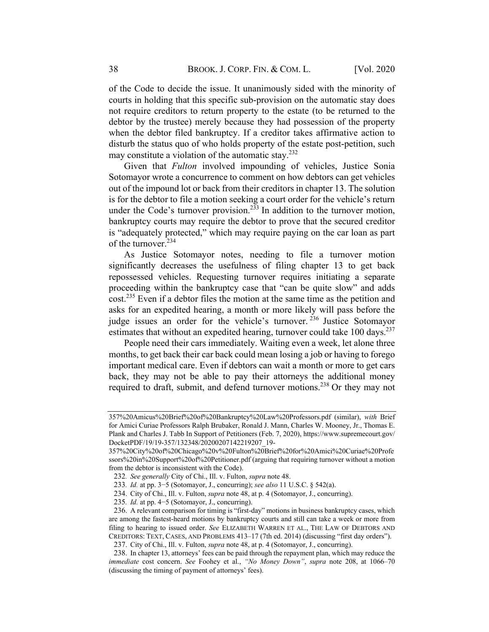of the Code to decide the issue. It unanimously sided with the minority of courts in holding that this specific sub-provision on the automatic stay does not require creditors to return property to the estate (to be returned to the debtor by the trustee) merely because they had possession of the property when the debtor filed bankruptcy. If a creditor takes affirmative action to disturb the status quo of who holds property of the estate post-petition, such may constitute a violation of the automatic stay. $232$ 

Given that Fulton involved impounding of vehicles, Justice Sonia Sotomayor wrote a concurrence to comment on how debtors can get vehicles out of the impound lot or back from their creditors in chapter 13. The solution is for the debtor to file a motion seeking a court order for the vehicle's return under the Code's turnover provision.<sup>233</sup> In addition to the turnover motion, bankruptcy courts may require the debtor to prove that the secured creditor is "adequately protected," which may require paying on the car loan as part of the turnover.<sup>234</sup>

As Justice Sotomayor notes, needing to file a turnover motion significantly decreases the usefulness of filing chapter 13 to get back repossessed vehicles. Requesting turnover requires initiating a separate proceeding within the bankruptcy case that "can be quite slow" and adds cost.<sup>235</sup> Even if a debtor files the motion at the same time as the petition and asks for an expedited hearing, a month or more likely will pass before the judge issues an order for the vehicle's turnover.<sup>236</sup> Justice Sotomayor estimates that without an expedited hearing, turnover could take  $100 \text{ days}$ .<sup>237</sup>

People need their cars immediately. Waiting even a week, let alone three months, to get back their car back could mean losing a job or having to forego important medical care. Even if debtors can wait a month or more to get cars back, they may not be able to pay their attorneys the additional money required to draft, submit, and defend turnover motions.<sup>238</sup> Or they may not

<sup>357%20</sup>Amicus%20Brief%20of%20Bankruptcy%20Law%20Professors.pdf (similar), with Brief for Amici Curiae Professors Ralph Brubaker, Ronald J. Mann, Charles W. Mooney, Jr., Thomas E. Plank and Charles J. Tabb In Support of Petitioners (Feb. 7, 2020), https://www.supremecourt.gov/ DocketPDF/19/19-357/132348/20200207142219207\_19-

<sup>357%20</sup>City%20of%20Chicago%20v%20Fulton%20Brief%20for%20Amici%20Curiae%20Profe ssors%20in%20Support%20of%20Petitioner.pdf (arguing that requiring turnover without a motion from the debtor is inconsistent with the Code).

<sup>232.</sup> See generally City of Chi., Ill. v. Fulton, supra note 48.

<sup>233.</sup> Id. at pp. 3-5 (Sotomayor, J., concurring); see also 11 U.S.C. § 542(a).

<sup>234.</sup> City of Chi., Ill. v. Fulton, *supra* note 48, at p. 4 (Sotomayor, J., concurring).

<sup>235</sup>. Id. at pp. 4−5 (Sotomayor, J., concurring).

<sup>236.</sup> A relevant comparison for timing is "first-day" motions in business bankruptcy cases, which are among the fastest-heard motions by bankruptcy courts and still can take a week or more from filing to hearing to issued order. See ELIZABETH WARREN ET AL., THE LAW OF DEBTORS AND CREDITORS: TEXT, CASES, AND PROBLEMS 413–17 (7th ed. 2014) (discussing "first day orders").

<sup>237.</sup> City of Chi., Ill. v. Fulton, *supra* note 48, at p. 4 (Sotomayor, J., concurring).

<sup>238.</sup> In chapter 13, attorneys' fees can be paid through the repayment plan, which may reduce the immediate cost concern. See Foohey et al., "No Money Down", supra note 208, at 1066-70 (discussing the timing of payment of attorneys' fees).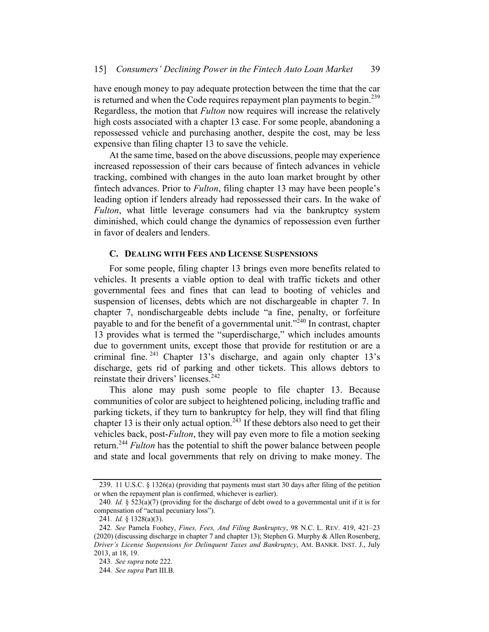have enough money to pay adequate protection between the time that the car is returned and when the Code requires repayment plan payments to begin.<sup>239</sup> Regardless, the motion that Fulton now requires will increase the relatively high costs associated with a chapter 13 case. For some people, abandoning a repossessed vehicle and purchasing another, despite the cost, may be less expensive than filing chapter 13 to save the vehicle.

At the same time, based on the above discussions, people may experience increased repossession of their cars because of fintech advances in vehicle tracking, combined with changes in the auto loan market brought by other fintech advances. Prior to *Fulton*, filing chapter 13 may have been people's leading option if lenders already had repossessed their cars. In the wake of Fulton, what little leverage consumers had via the bankruptcy system diminished, which could change the dynamics of repossession even further in favor of dealers and lenders.

#### C. DEALING WITH FEES AND LICENSE SUSPENSIONS

For some people, filing chapter 13 brings even more benefits related to vehicles. It presents a viable option to deal with traffic tickets and other governmental fees and fines that can lead to booting of vehicles and suspension of licenses, debts which are not dischargeable in chapter 7. In chapter 7, nondischargeable debts include "a fine, penalty, or forfeiture payable to and for the benefit of a governmental unit."240 In contrast, chapter 13 provides what is termed the "superdischarge," which includes amounts due to government units, except those that provide for restitution or are a criminal fine. <sup>241</sup> Chapter 13's discharge, and again only chapter 13's discharge, gets rid of parking and other tickets. This allows debtors to reinstate their drivers' licenses.<sup>242</sup>

This alone may push some people to file chapter 13. Because communities of color are subject to heightened policing, including traffic and parking tickets, if they turn to bankruptcy for help, they will find that filing chapter 13 is their only actual option.<sup>243</sup> If these debtors also need to get their vehicles back, post-Fulton, they will pay even more to file a motion seeking return.<sup>244</sup> Fulton has the potential to shift the power balance between people and state and local governments that rely on driving to make money. The

<sup>239.</sup> 11 U.S.C. § 1326(a) (providing that payments must start 30 days after filing of the petition or when the repayment plan is confirmed, whichever is earlier).

<sup>240.</sup> Id. § 523(a)(7) (providing for the discharge of debt owed to a governmental unit if it is for compensation of "actual pecuniary loss").

<sup>241</sup>. Id. § 1328(a)(3).

<sup>242.</sup> See Pamela Foohey, Fines, Fees, And Filing Bankruptcy, 98 N.C. L. REV. 419, 421-23 (2020) (discussing discharge in chapter 7 and chapter 13); Stephen G. Murphy & Allen Rosenberg, Driver's License Suspensions for Delinquent Taxes and Bankruptcy, AM. BANKR. INST. J., July 2013, at 18, 19.

<sup>243</sup>. See supra note 222.

<sup>244</sup>. See supra Part III.B.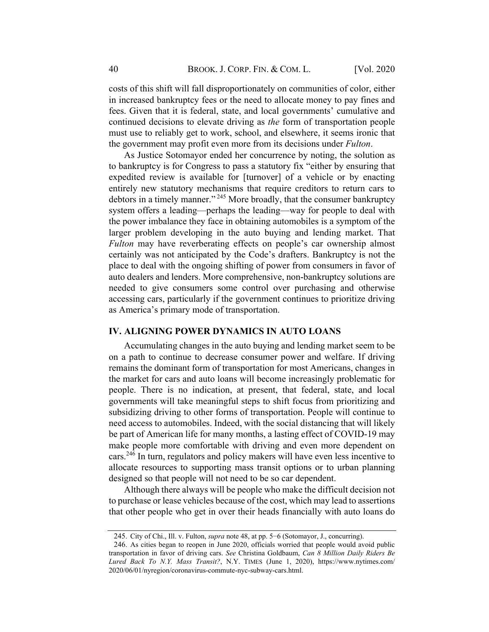costs of this shift will fall disproportionately on communities of color, either in increased bankruptcy fees or the need to allocate money to pay fines and fees. Given that it is federal, state, and local governments' cumulative and continued decisions to elevate driving as the form of transportation people must use to reliably get to work, school, and elsewhere, it seems ironic that the government may profit even more from its decisions under *Fulton*.

As Justice Sotomayor ended her concurrence by noting, the solution as to bankruptcy is for Congress to pass a statutory fix "either by ensuring that expedited review is available for [turnover] of a vehicle or by enacting entirely new statutory mechanisms that require creditors to return cars to debtors in a timely manner." <sup>245</sup> More broadly, that the consumer bankruptcy system offers a leading—perhaps the leading—way for people to deal with the power imbalance they face in obtaining automobiles is a symptom of the larger problem developing in the auto buying and lending market. That Fulton may have reverberating effects on people's car ownership almost certainly was not anticipated by the Code's drafters. Bankruptcy is not the place to deal with the ongoing shifting of power from consumers in favor of auto dealers and lenders. More comprehensive, non-bankruptcy solutions are needed to give consumers some control over purchasing and otherwise accessing cars, particularly if the government continues to prioritize driving as America's primary mode of transportation.

## IV. ALIGNING POWER DYNAMICS IN AUTO LOANS

Accumulating changes in the auto buying and lending market seem to be on a path to continue to decrease consumer power and welfare. If driving remains the dominant form of transportation for most Americans, changes in the market for cars and auto loans will become increasingly problematic for people. There is no indication, at present, that federal, state, and local governments will take meaningful steps to shift focus from prioritizing and subsidizing driving to other forms of transportation. People will continue to need access to automobiles. Indeed, with the social distancing that will likely be part of American life for many months, a lasting effect of COVID-19 may make people more comfortable with driving and even more dependent on cars.<sup>246</sup> In turn, regulators and policy makers will have even less incentive to allocate resources to supporting mass transit options or to urban planning designed so that people will not need to be so car dependent.

Although there always will be people who make the difficult decision not to purchase or lease vehicles because of the cost, which may lead to assertions that other people who get in over their heads financially with auto loans do

<sup>245.</sup> City of Chi., Ill. v. Fulton, *supra* note 48, at pp. 5–6 (Sotomayor, J., concurring).

<sup>246.</sup> As cities began to reopen in June 2020, officials worried that people would avoid public transportation in favor of driving cars. See Christina Goldbaum, Can 8 Million Daily Riders Be Lured Back To N.Y. Mass Transit?, N.Y. TIMES (June 1, 2020), https://www.nytimes.com/ 2020/06/01/nyregion/coronavirus-commute-nyc-subway-cars.html.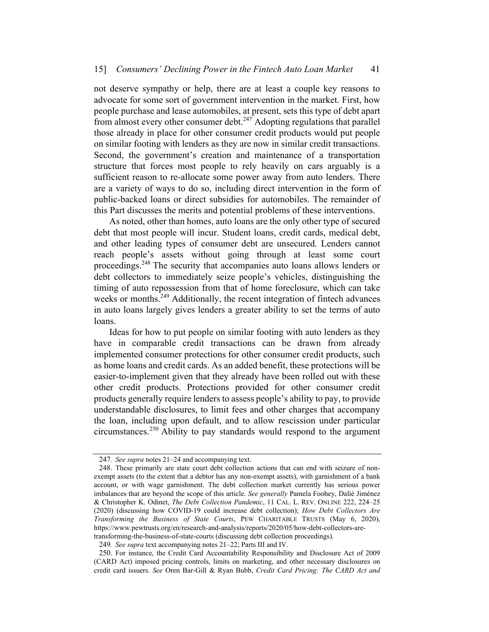not deserve sympathy or help, there are at least a couple key reasons to advocate for some sort of government intervention in the market. First, how people purchase and lease automobiles, at present, sets this type of debt apart from almost every other consumer debt. $247$  Adopting regulations that parallel those already in place for other consumer credit products would put people on similar footing with lenders as they are now in similar credit transactions. Second, the government's creation and maintenance of a transportation structure that forces most people to rely heavily on cars arguably is a sufficient reason to re-allocate some power away from auto lenders. There are a variety of ways to do so, including direct intervention in the form of public-backed loans or direct subsidies for automobiles. The remainder of this Part discusses the merits and potential problems of these interventions.

As noted, other than homes, auto loans are the only other type of secured debt that most people will incur. Student loans, credit cards, medical debt, and other leading types of consumer debt are unsecured. Lenders cannot reach people's assets without going through at least some court proceedings.<sup>248</sup> The security that accompanies auto loans allows lenders or debt collectors to immediately seize people's vehicles, distinguishing the timing of auto repossession from that of home foreclosure, which can take weeks or months.<sup>249</sup> Additionally, the recent integration of fintech advances in auto loans largely gives lenders a greater ability to set the terms of auto loans.

Ideas for how to put people on similar footing with auto lenders as they have in comparable credit transactions can be drawn from already implemented consumer protections for other consumer credit products, such as home loans and credit cards. As an added benefit, these protections will be easier-to-implement given that they already have been rolled out with these other credit products. Protections provided for other consumer credit products generally require lenders to assess people's ability to pay, to provide understandable disclosures, to limit fees and other charges that accompany the loan, including upon default, and to allow rescission under particular circumstances.<sup>250</sup> Ability to pay standards would respond to the argument

<sup>247</sup>. See supra notes 21–24 and accompanying text.

<sup>248.</sup> These primarily are state court debt collection actions that can end with seizure of nonexempt assets (to the extent that a debtor has any non-exempt assets), with garnishment of a bank account, or with wage garnishment. The debt collection market currently has serious power imbalances that are beyond the scope of this article. See generally Pamela Foohey, Dalié Jiménez & Christopher K. Odinet, The Debt Collection Pandemic, 11 CAL. L. REV. ONLINE 222, 224–25 (2020) (discussing how COVID-19 could increase debt collection); How Debt Collectors Are Transforming the Business of State Courts, PEW CHARITABLE TRUSTS (May 6, 2020), https://www.pewtrusts.org/en/research-and-analysis/reports/2020/05/how-debt-collectors-aretransforming-the-business-of-state-courts (discussing debt collection proceedings).

<sup>249</sup>. See supra text accompanying notes 21–22; Parts III and IV.

<sup>250.</sup> For instance, the Credit Card Accountability Responsibility and Disclosure Act of 2009 (CARD Act) imposed pricing controls, limits on marketing, and other necessary disclosures on credit card issuers. See Oren Bar-Gill & Ryan Bubb, Credit Card Pricing: The CARD Act and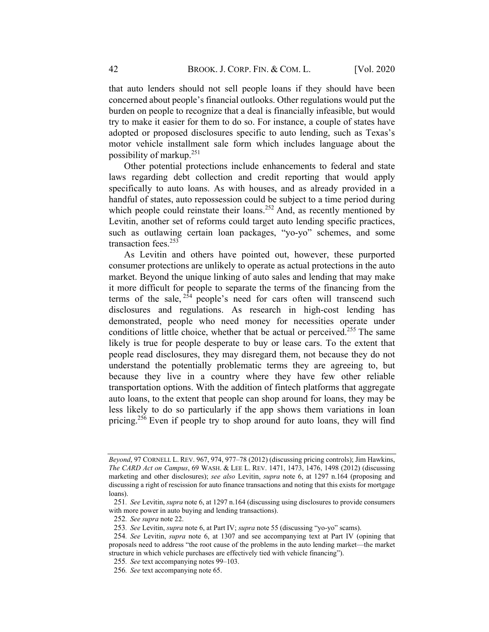that auto lenders should not sell people loans if they should have been concerned about people's financial outlooks. Other regulations would put the burden on people to recognize that a deal is financially infeasible, but would try to make it easier for them to do so. For instance, a couple of states have adopted or proposed disclosures specific to auto lending, such as Texas's motor vehicle installment sale form which includes language about the possibility of markup.251

Other potential protections include enhancements to federal and state laws regarding debt collection and credit reporting that would apply specifically to auto loans. As with houses, and as already provided in a handful of states, auto repossession could be subject to a time period during which people could reinstate their loans.<sup>252</sup> And, as recently mentioned by Levitin, another set of reforms could target auto lending specific practices, such as outlawing certain loan packages, "yo-yo" schemes, and some transaction fees. 253

As Levitin and others have pointed out, however, these purported consumer protections are unlikely to operate as actual protections in the auto market. Beyond the unique linking of auto sales and lending that may make it more difficult for people to separate the terms of the financing from the terms of the sale,  $2\bar{5}4$  people's need for cars often will transcend such disclosures and regulations. As research in high-cost lending has demonstrated, people who need money for necessities operate under conditions of little choice, whether that be actual or perceived.<sup>255</sup> The same likely is true for people desperate to buy or lease cars. To the extent that people read disclosures, they may disregard them, not because they do not understand the potentially problematic terms they are agreeing to, but because they live in a country where they have few other reliable transportation options. With the addition of fintech platforms that aggregate auto loans, to the extent that people can shop around for loans, they may be less likely to do so particularly if the app shows them variations in loan pricing.<sup>256</sup> Even if people try to shop around for auto loans, they will find

Beyond, 97 CORNELL L. REV. 967, 974, 977–78 (2012) (discussing pricing controls); Jim Hawkins, The CARD Act on Campus, 69 WASH. & LEE L. REV. 1471, 1473, 1476, 1498 (2012) (discussing marketing and other disclosures); see also Levitin, supra note 6, at 1297 n.164 (proposing and discussing a right of rescission for auto finance transactions and noting that this exists for mortgage loans).

<sup>251</sup>. See Levitin, supra note 6, at 1297 n.164 (discussing using disclosures to provide consumers with more power in auto buying and lending transactions).

<sup>252</sup>. See supra note 22.

<sup>253</sup>. See Levitin, supra note 6, at Part IV; supra note 55 (discussing "yo-yo" scams).

<sup>254</sup>. See Levitin, supra note 6, at 1307 and see accompanying text at Part IV (opining that proposals need to address "the root cause of the problems in the auto lending market—the market structure in which vehicle purchases are effectively tied with vehicle financing").

<sup>255</sup>. See text accompanying notes 99–103.

<sup>256</sup>. See text accompanying note 65.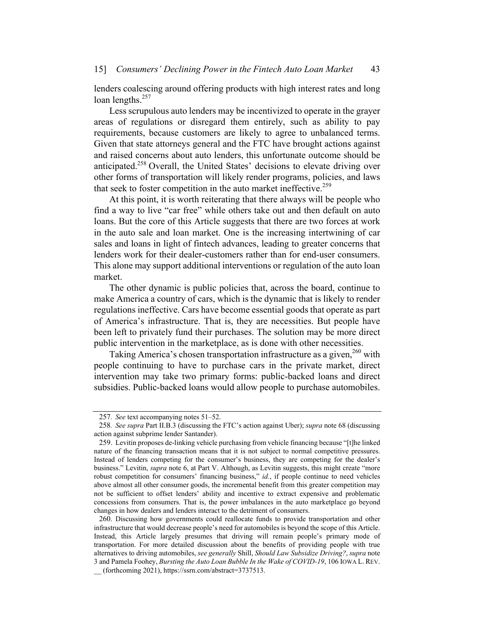lenders coalescing around offering products with high interest rates and long loan lengths.<sup>257</sup>

Less scrupulous auto lenders may be incentivized to operate in the grayer areas of regulations or disregard them entirely, such as ability to pay requirements, because customers are likely to agree to unbalanced terms. Given that state attorneys general and the FTC have brought actions against and raised concerns about auto lenders, this unfortunate outcome should be anticipated.<sup>258</sup> Overall, the United States' decisions to elevate driving over other forms of transportation will likely render programs, policies, and laws that seek to foster competition in the auto market ineffective.<sup>259</sup>

At this point, it is worth reiterating that there always will be people who find a way to live "car free" while others take out and then default on auto loans. But the core of this Article suggests that there are two forces at work in the auto sale and loan market. One is the increasing intertwining of car sales and loans in light of fintech advances, leading to greater concerns that lenders work for their dealer-customers rather than for end-user consumers. This alone may support additional interventions or regulation of the auto loan market.

The other dynamic is public policies that, across the board, continue to make America a country of cars, which is the dynamic that is likely to render regulations ineffective. Cars have become essential goods that operate as part of America's infrastructure. That is, they are necessities. But people have been left to privately fund their purchases. The solution may be more direct public intervention in the marketplace, as is done with other necessities.

Taking America's chosen transportation infrastructure as a given,<sup>260</sup> with people continuing to have to purchase cars in the private market, direct intervention may take two primary forms: public-backed loans and direct subsidies. Public-backed loans would allow people to purchase automobiles.

<sup>257</sup>. See text accompanying notes 51–52.

<sup>258.</sup> See supra Part II.B.3 (discussing the FTC's action against Uber); supra note 68 (discussing action against subprime lender Santander).

<sup>259.</sup> Levitin proposes de-linking vehicle purchasing from vehicle financing because "[t]he linked nature of the financing transaction means that it is not subject to normal competitive pressures. Instead of lenders competing for the consumer's business, they are competing for the dealer's business." Levitin, supra note 6, at Part V. Although, as Levitin suggests, this might create "more robust competition for consumers' financing business," id., if people continue to need vehicles above almost all other consumer goods, the incremental benefit from this greater competition may not be sufficient to offset lenders' ability and incentive to extract expensive and problematic concessions from consumers. That is, the power imbalances in the auto marketplace go beyond changes in how dealers and lenders interact to the detriment of consumers.

<sup>260.</sup> Discussing how governments could reallocate funds to provide transportation and other infrastructure that would decrease people's need for automobiles is beyond the scope of this Article. Instead, this Article largely presumes that driving will remain people's primary mode of transportation. For more detailed discussion about the benefits of providing people with true alternatives to driving automobiles, see generally Shill, Should Law Subsidize Driving?, supra note 3 and Pamela Foohey, Bursting the Auto Loan Bubble In the Wake of COVID-19, 106 IOWA L. REV. \_\_ (forthcoming 2021), https://ssrn.com/abstract=3737513.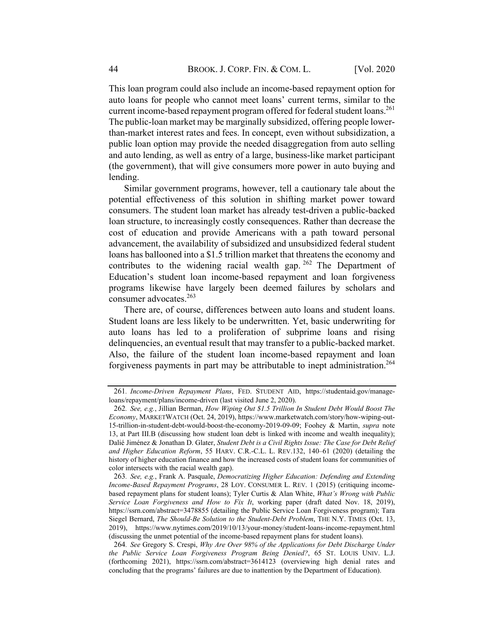This loan program could also include an income-based repayment option for auto loans for people who cannot meet loans' current terms, similar to the current income-based repayment program offered for federal student loans.<sup>261</sup> The public-loan market may be marginally subsidized, offering people lowerthan-market interest rates and fees. In concept, even without subsidization, a public loan option may provide the needed disaggregation from auto selling and auto lending, as well as entry of a large, business-like market participant (the government), that will give consumers more power in auto buying and lending.

Similar government programs, however, tell a cautionary tale about the potential effectiveness of this solution in shifting market power toward consumers. The student loan market has already test-driven a public-backed loan structure, to increasingly costly consequences. Rather than decrease the cost of education and provide Americans with a path toward personal advancement, the availability of subsidized and unsubsidized federal student loans has ballooned into a \$1.5 trillion market that threatens the economy and contributes to the widening racial wealth gap.  $262$  The Department of Education's student loan income-based repayment and loan forgiveness programs likewise have largely been deemed failures by scholars and consumer advocates.<sup>263</sup>

There are, of course, differences between auto loans and student loans. Student loans are less likely to be underwritten. Yet, basic underwriting for auto loans has led to a proliferation of subprime loans and rising delinquencies, an eventual result that may transfer to a public-backed market. Also, the failure of the student loan income-based repayment and loan forgiveness payments in part may be attributable to inept administration.<sup>264</sup>

<sup>261</sup>. Income-Driven Repayment Plans, FED. STUDENT AID, https://studentaid.gov/manageloans/repayment/plans/income-driven (last visited June 2, 2020).

<sup>262</sup>. See, e.g., Jillian Berman, How Wiping Out \$1.5 Trillion In Student Debt Would Boost The Economy, MARKETWATCH (Oct. 24, 2019), https://www.marketwatch.com/story/how-wiping-out-15-trillion-in-student-debt-would-boost-the-economy-2019-09-09; Foohey & Martin, supra note 13, at Part III.B (discussing how student loan debt is linked with income and wealth inequality); Dalié Jiménez & Jonathan D. Glater, Student Debt is a Civil Rights Issue: The Case for Debt Relief and Higher Education Reform, 55 HARV. C.R.-C.L. L. REV.132, 140–61 (2020) (detailing the history of higher education finance and how the increased costs of student loans for communities of color intersects with the racial wealth gap).

<sup>263</sup>. See, e.g., Frank A. Pasquale, Democratizing Higher Education: Defending and Extending Income-Based Repayment Programs, 28 LOY. CONSUMER L. REV. 1 (2015) (critiquing incomebased repayment plans for student loans); Tyler Curtis & Alan White, What's Wrong with Public Service Loan Forgiveness and How to Fix It, working paper (draft dated Nov. 18, 2019), https://ssrn.com/abstract=3478855 (detailing the Public Service Loan Forgiveness program); Tara Siegel Bernard, The Should-Be Solution to the Student-Debt Problem, THE N.Y. TIMES (Oct. 13, 2019), https://www.nytimes.com/2019/10/13/your-money/student-loans-income-repayment.html (discussing the unmet potential of the income-based repayment plans for student loans).

<sup>264</sup>. See Gregory S. Crespi, Why Are Over 98% of the Applications for Debt Discharge Under the Public Service Loan Forgiveness Program Being Denied?, 65 ST. LOUIS UNIV. L.J. (forthcoming 2021), https://ssrn.com/abstract=3614123 (overviewing high denial rates and concluding that the programs' failures are due to inattention by the Department of Education).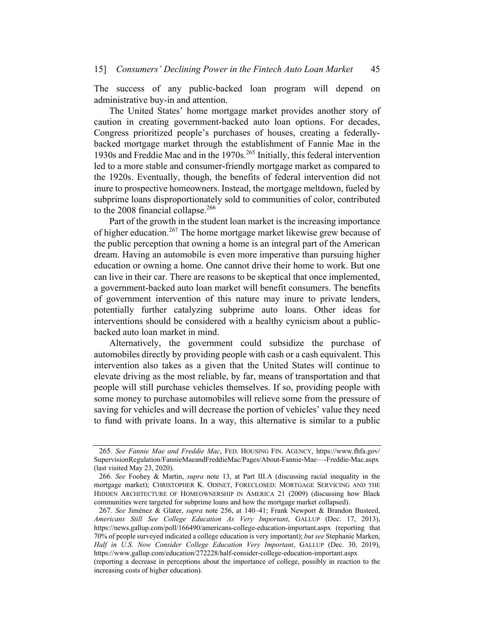The success of any public-backed loan program will depend on administrative buy-in and attention.

The United States' home mortgage market provides another story of caution in creating government-backed auto loan options. For decades, Congress prioritized people's purchases of houses, creating a federallybacked mortgage market through the establishment of Fannie Mae in the 1930s and Freddie Mac and in the 1970s. <sup>265</sup> Initially, this federal intervention led to a more stable and consumer-friendly mortgage market as compared to the 1920s. Eventually, though, the benefits of federal intervention did not inure to prospective homeowners. Instead, the mortgage meltdown, fueled by subprime loans disproportionately sold to communities of color, contributed to the 2008 financial collapse. $266$ 

Part of the growth in the student loan market is the increasing importance of higher education.<sup>267</sup> The home mortgage market likewise grew because of the public perception that owning a home is an integral part of the American dream. Having an automobile is even more imperative than pursuing higher education or owning a home. One cannot drive their home to work. But one can live in their car. There are reasons to be skeptical that once implemented, a government-backed auto loan market will benefit consumers. The benefits of government intervention of this nature may inure to private lenders, potentially further catalyzing subprime auto loans. Other ideas for interventions should be considered with a healthy cynicism about a publicbacked auto loan market in mind.

Alternatively, the government could subsidize the purchase of automobiles directly by providing people with cash or a cash equivalent. This intervention also takes as a given that the United States will continue to elevate driving as the most reliable, by far, means of transportation and that people will still purchase vehicles themselves. If so, providing people with some money to purchase automobiles will relieve some from the pressure of saving for vehicles and will decrease the portion of vehicles' value they need to fund with private loans. In a way, this alternative is similar to a public

<sup>265</sup>. See Fannie Mae and Freddie Mac, FED. HOUSING FIN. AGENCY, https://www.fhfa.gov/ SupervisionRegulation/FannieMaeandFreddieMac/Pages/About-Fannie-Mae—-Freddie-Mac.aspx (last visited May 23, 2020).

<sup>266</sup>. See Foohey & Martin, supra note 13, at Part III.A (discussing racial inequality in the mortgage market); CHRISTOPHER K. ODINET, FORECLOSED: MORTGAGE SERVICING AND THE HIDDEN ARCHITECTURE OF HOMEOWNERSHIP IN AMERICA 21 (2009) (discussing how Black communities were targeted for subprime loans and how the mortgage market collapsed).

<sup>267</sup>. See Jiménez & Glater, supra note 256, at 140–41; Frank Newport & Brandon Busteed, Americans Still See College Education As Very Important, GALLUP (Dec. 17, 2013), https://news.gallup.com/poll/166490/americans-college-education-important.aspx (reporting that 70% of people surveyed indicated a college education is very important); but see Stephanie Marken, Half in U.S. Now Consider College Education Very Important, GALLUP (Dec. 30, 2019), https://www.gallup.com/education/272228/half-consider-college-education-important.aspx

<sup>(</sup>reporting a decrease in perceptions about the importance of college, possibly in reaction to the increasing costs of higher education).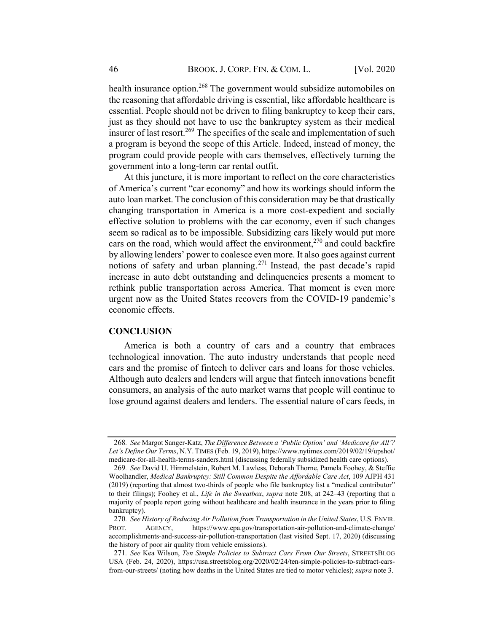health insurance option.<sup>268</sup> The government would subsidize automobiles on the reasoning that affordable driving is essential, like affordable healthcare is essential. People should not be driven to filing bankruptcy to keep their cars, just as they should not have to use the bankruptcy system as their medical insurer of last resort.<sup>269</sup> The specifics of the scale and implementation of such a program is beyond the scope of this Article. Indeed, instead of money, the program could provide people with cars themselves, effectively turning the government into a long-term car rental outfit.

At this juncture, it is more important to reflect on the core characteristics of America's current "car economy" and how its workings should inform the auto loan market. The conclusion of this consideration may be that drastically changing transportation in America is a more cost-expedient and socially effective solution to problems with the car economy, even if such changes seem so radical as to be impossible. Subsidizing cars likely would put more cars on the road, which would affect the environment,  $270$  and could backfire by allowing lenders' power to coalesce even more. It also goes against current notions of safety and urban planning.<sup>271</sup> Instead, the past decade's rapid increase in auto debt outstanding and delinquencies presents a moment to rethink public transportation across America. That moment is even more urgent now as the United States recovers from the COVID-19 pandemic's economic effects.

## **CONCLUSION**

America is both a country of cars and a country that embraces technological innovation. The auto industry understands that people need cars and the promise of fintech to deliver cars and loans for those vehicles. Although auto dealers and lenders will argue that fintech innovations benefit consumers, an analysis of the auto market warns that people will continue to lose ground against dealers and lenders. The essential nature of cars feeds, in

<sup>268</sup>. See Margot Sanger-Katz, The Difference Between a 'Public Option' and 'Medicare for All'? Let's Define Our Terms, N.Y. TIMES (Feb. 19, 2019), https://www.nytimes.com/2019/02/19/upshot/ medicare-for-all-health-terms-sanders.html (discussing federally subsidized health care options).

<sup>269</sup>. See David U. Himmelstein, Robert M. Lawless, Deborah Thorne, Pamela Foohey, & Steffie Woolhandler, Medical Bankruptcy: Still Common Despite the Affordable Care Act, 109 AJPH 431 (2019) (reporting that almost two-thirds of people who file bankruptcy list a "medical contributor" to their filings); Foohey et al., *Life in the Sweatbox, supra* note 208, at 242–43 (reporting that a majority of people report going without healthcare and health insurance in the years prior to filing bankruptcy).

<sup>270</sup>. See History of Reducing Air Pollution from Transportation in the United States, U.S. ENVIR. PROT. AGENCY, https://www.epa.gov/transportation-air-pollution-and-climate-change/ accomplishments-and-success-air-pollution-transportation (last visited Sept. 17, 2020) (discussing the history of poor air quality from vehicle emissions).

<sup>271</sup>. See Kea Wilson, Ten Simple Policies to Subtract Cars From Our Streets, STREETSBLOG USA (Feb. 24, 2020), https://usa.streetsblog.org/2020/02/24/ten-simple-policies-to-subtract-carsfrom-our-streets/ (noting how deaths in the United States are tied to motor vehicles); supra note 3.